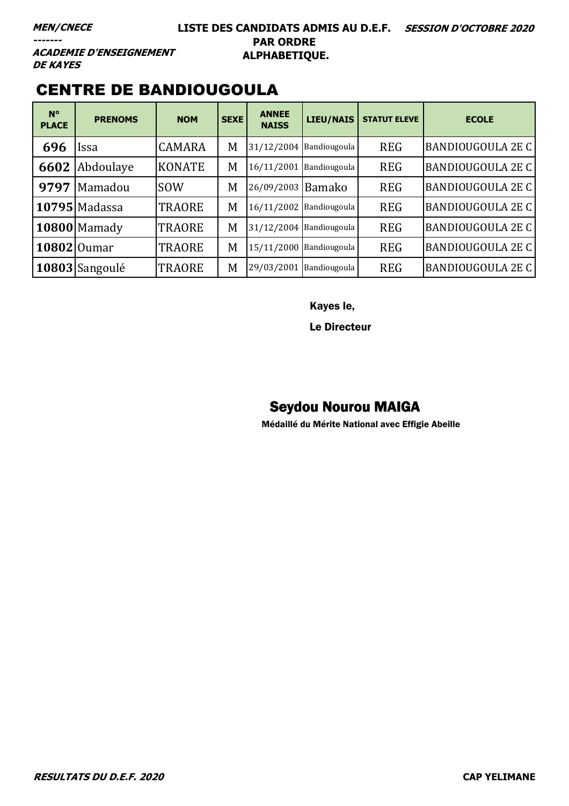#### **LISTE DES CANDIDATS ADMIS AU D.E.F. SESSION D'OCTOBRE 2020 PAR ORDRE ALPHABETIQUE.**

**ACADEMIE D'ENSEIGNEMENT DE KAYES** 

### CENTRE DE BANDIOUGOULA

| $N^{\circ}$<br><b>PLACE</b> | <b>PRENOMS</b>       | <b>NOM</b>    | <b>SEXE</b> | <b>ANNEE</b><br><b>NAISS</b> | <b>LIEU/NAIS</b>        | <b>STATUT ELEVE</b> | <b>ECOLE</b>             |
|-----------------------------|----------------------|---------------|-------------|------------------------------|-------------------------|---------------------|--------------------------|
| 696                         | Issa                 | <b>CAMARA</b> | M           |                              | 31/12/2004 Bandiougoula | <b>REG</b>          | <b>BANDIOUGOULA 2E C</b> |
| 6602                        | Abdoulaye            | <b>KONATE</b> | M           | 16/11/2001                   | Bandiougoula            | <b>REG</b>          | <b>BANDIOUGOULA 2E C</b> |
| 9797                        | Mamadou              | <b>SOW</b>    | M           | 26/09/2003 Bamako            |                         | <b>REG</b>          | <b>BANDIOUGOULA 2E C</b> |
|                             | <b>10795</b> Madassa | <b>TRAORE</b> | M           |                              | 16/11/2002 Bandiougoula | <b>REG</b>          | <b>BANDIOUGOULA 2E C</b> |
|                             | 10800 Mamady         | <b>TRAORE</b> | M           |                              | 31/12/2004 Bandiougoula | <b>REG</b>          | <b>BANDIOUGOULA 2E C</b> |
| 10802 Oumar                 |                      | <b>TRAORE</b> | M           |                              | 15/11/2000 Bandiougoula | <b>REG</b>          | <b>BANDIOUGOULA 2E C</b> |
|                             | $10803$ Sangoulé     | <b>TRAORE</b> | M           | 29/03/2001                   | Bandiougoula            | <b>REG</b>          | BANDIOUGOULA 2E C        |

Kayes le,

Le Directeur

#### Seydou Nourou MAIGA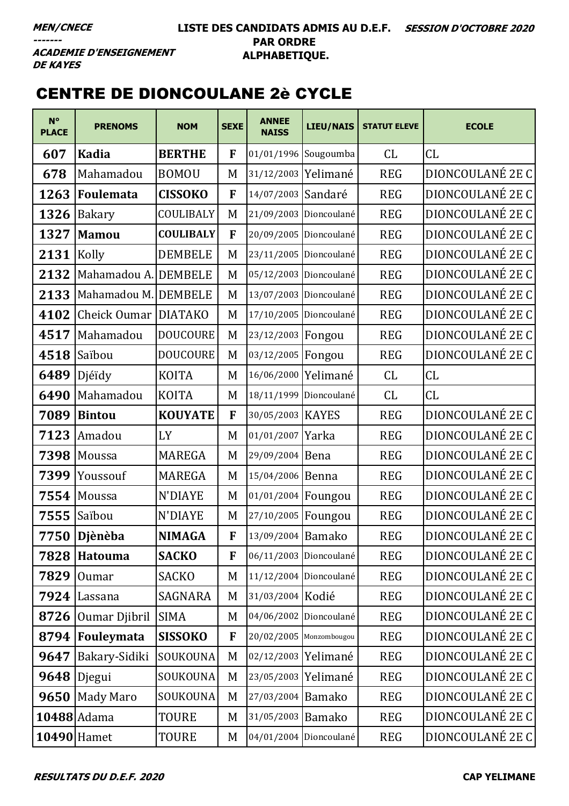**ACADEMIE D'ENSEIGNEMENT DE KAYES** 

### CENTRE DE DIONCOULANE 2è CYCLE

| $N^{\circ}$<br><b>PLACE</b> | <b>PRENOMS</b>       | <b>NOM</b>       | <b>SEXE</b>  | <b>ANNEE</b><br><b>NAISS</b> | <b>LIEU/NAIS</b>       | <b>STATUT ELEVE</b> | <b>ECOLE</b>     |
|-----------------------------|----------------------|------------------|--------------|------------------------------|------------------------|---------------------|------------------|
| 607                         | <b>Kadia</b>         | <b>BERTHE</b>    | $\mathbf{F}$ | 01/01/1996 Sougoumba         |                        | CL                  | CL               |
| 678                         | Mahamadou            | <b>BOMOU</b>     | M            | 31/12/2003                   | Yelimané               | <b>REG</b>          | DIONCOULANÉ 2E C |
| 1263                        | Foulemata            | <b>CISSOKO</b>   | F            | 14/07/2003 Sandaré           |                        | <b>REG</b>          | DIONCOULANÉ 2E C |
| 1326                        | <b>Bakary</b>        | COULIBALY        | M            |                              | 21/09/2003 Dioncoulané | <b>REG</b>          | DIONCOULANÉ 2E C |
| 1327                        | <b>Mamou</b>         | <b>COULIBALY</b> | F            |                              | 20/09/2005 Dioncoulané | <b>REG</b>          | DIONCOULANÉ 2E C |
| 2131                        | Kolly                | <b>DEMBELE</b>   | M            |                              | 23/11/2005 Dioncoulané | <b>REG</b>          | DIONCOULANÉ 2E C |
| 2132                        | Mahamadou A. DEMBELE |                  | M            | 05/12/2003 Dioncoulané       |                        | <b>REG</b>          | DIONCOULANÉ 2E C |
| 2133                        | Mahamadou M. DEMBELE |                  | M            |                              | 13/07/2003 Dioncoulané | <b>REG</b>          | DIONCOULANÉ 2E C |
| 4102                        | Cheick Oumar DIATAKO |                  | M            |                              | 17/10/2005 Dioncoulané | <b>REG</b>          | DIONCOULANÉ 2E C |
| 4517                        | Mahamadou            | <b>DOUCOURE</b>  | M            | 23/12/2003   Fongou          |                        | <b>REG</b>          | DIONCOULANÉ 2E C |
| 4518                        | Saïbou               | <b>DOUCOURE</b>  | M            | 03/12/2005 Fongou            |                        | <b>REG</b>          | DIONCOULANÉ 2E C |
| 6489                        | Djéïdy               | <b>KOITA</b>     | M            | 16/06/2000                   | Yelimané               | CL                  | CL               |
| 6490                        | Mahamadou            | <b>KOITA</b>     | M            |                              | 18/11/1999 Dioncoulané | CL                  | CL               |
| 7089                        | <b>Bintou</b>        | <b>KOUYATE</b>   | F            | 30/05/2003   KAYES           |                        | <b>REG</b>          | DIONCOULANÉ 2E C |
| 7123                        | Amadou               | LY               | M            | 01/01/2007 Yarka             |                        | <b>REG</b>          | DIONCOULANÉ 2E C |
| 7398                        | Moussa               | <b>MAREGA</b>    | M            | 29/09/2004                   | Bena                   | <b>REG</b>          | DIONCOULANÉ 2E C |
| 7399                        | Youssouf             | <b>MAREGA</b>    | M            | 15/04/2006 Benna             |                        | <b>REG</b>          | DIONCOULANÉ 2E C |
| 7554                        | Moussa               | <b>N'DIAYE</b>   | M            | 01/01/2004 Foungou           |                        | <b>REG</b>          | DIONCOULANÉ 2E C |
| 7555                        | Saïbou               | N'DIAYE          | M            | 27/10/2005 Foungou           |                        | <b>REG</b>          | DIONCOULANÉ 2E C |
|                             | 7750 Djènèba         | <b>NIMAGA</b>    | F            | 13/09/2004 Bamako            |                        | <b>REG</b>          | DIONCOULANÉ 2E C |
|                             | 7828 Hatouma         | <b>SACKO</b>     | F            | 06/11/2003 Dioncoulané       |                        | <b>REG</b>          | DIONCOULANÉ 2E C |
| 7829                        | Oumar                | <b>SACKO</b>     | M            |                              | 11/12/2004 Dioncoulané | <b>REG</b>          | DIONCOULANÉ 2E C |
|                             | $7924$ Lassana       | SAGNARA          | M            | 31/03/2004 Kodié             |                        | <b>REG</b>          | DIONCOULANÉ 2E C |
| 8726                        | Oumar Djibril        | <b>SIMA</b>      | M            |                              | 04/06/2002 Dioncoulané | <b>REG</b>          | DIONCOULANÉ 2E C |
| 8794                        | Fouleymata           | <b>SISSOKO</b>   | F            | 20/02/2005 Monzombougou      |                        | <b>REG</b>          | DIONCOULANÉ 2E C |
| 9647                        | Bakary-Sidiki        | SOUKOUNA         | M            | 02/12/2003 Yelimané          |                        | <b>REG</b>          | DIONCOULANÉ 2E C |
|                             | 9648 Djegui          | SOUKOUNA         | M            | 23/05/2003 Yelimané          |                        | <b>REG</b>          | DIONCOULANÉ 2E C |
|                             | 9650 Mady Maro       | SOUKOUNA         | M            | 27/03/2004 Bamako            |                        | <b>REG</b>          | DIONCOULANÉ 2E C |
|                             | 10488 Adama          | TOURE            | M            | 31/05/2003 Bamako            |                        | <b>REG</b>          | DIONCOULANÉ 2E C |
|                             | 10490 Hamet          | <b>TOURE</b>     | M            | 04/01/2004 Dioncoulané       |                        | <b>REG</b>          | DIONCOULANÉ 2E C |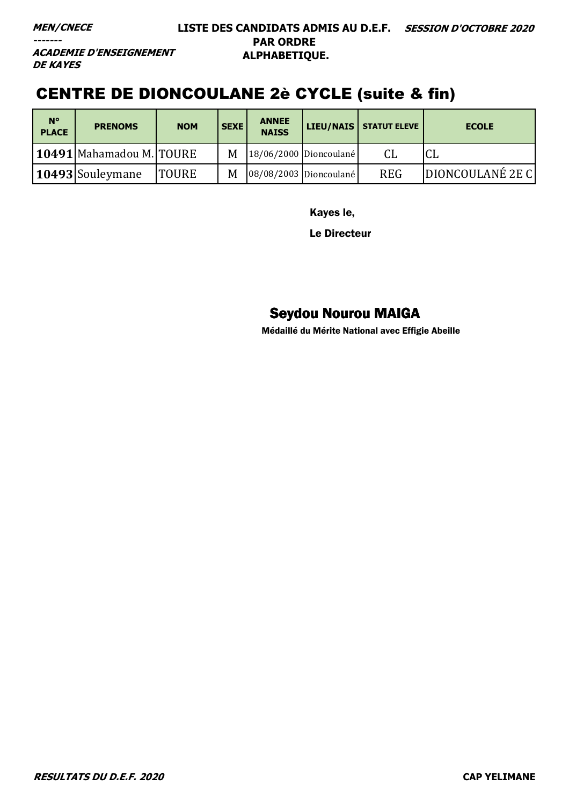#### **MEN/CNECE**

**-------**

#### **LISTE DES CANDIDATS ADMIS AU D.E.F. SESSION D'OCTOBRE 2020 PAR ORDRE ALPHABETIQUE.**

**ACADEMIE D'ENSEIGNEMENT DE KAYES** 

## CENTRE DE DIONCOULANE 2è CYCLE (suite & fin)

| $N^{\circ}$<br><b>PLACE</b> | <b>PRENOMS</b>               | <b>NOM</b>   | <b>SEXE</b> | <b>ANNEE</b><br><b>NAISS</b> |                        | LIEU/NAIS   STATUT ELEVE | <b>ECOLE</b>     |
|-----------------------------|------------------------------|--------------|-------------|------------------------------|------------------------|--------------------------|------------------|
|                             | 10491   Mahamadou M.   TOURE |              | M           |                              | 18/06/2000 Dioncoulané |                          | ыu               |
|                             | 10493 Souleymane             | <b>TOURE</b> | M           |                              | 08/08/2003 Dioncoulané | <b>REG</b>               | DIONCOULANÉ 2E C |

Kayes le,

Le Directeur

## Seydou Nourou MAIGA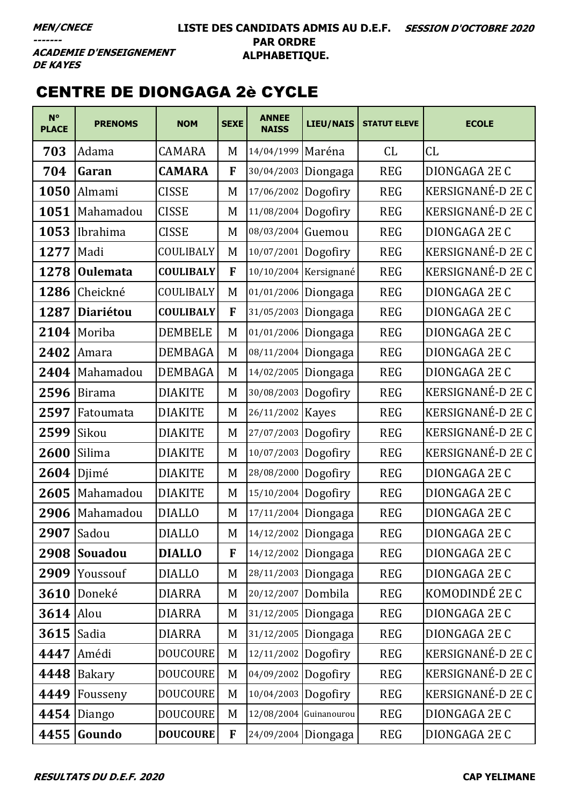#### LISTE DES CANDIDATS ADMIS AU D.E.F. SESSION D'OCTOBRE 2020 **PAR ORDRE** ALPHABETIQUE.

**ACADEMIE D'ENSEIGNEMENT DE KAYES** 

## **CENTRE DE DIONGAGA 2è CYCLE**

| $N^{\circ}$<br><b>PLACE</b> | <b>PRENOMS</b>   | <b>NOM</b>       | <b>SEXE</b> | <b>ANNEE</b><br><b>NAISS</b> | <b>LIEU/NAIS</b>       | <b>STATUT ELEVE</b> | <b>ECOLE</b>             |
|-----------------------------|------------------|------------------|-------------|------------------------------|------------------------|---------------------|--------------------------|
| 703                         | Adama            | <b>CAMARA</b>    | M           | 14/04/1999 Maréna            |                        | CL                  | CL                       |
| 704                         | Garan            | <b>CAMARA</b>    | F           | 30/04/2003                   | Diongaga               | <b>REG</b>          | DIONGAGA 2E C            |
| 1050                        | Almami           | <b>CISSE</b>     | M           | 17/06/2002                   | Dogofiry               | <b>REG</b>          | <b>KERSIGNANÉ-D 2E C</b> |
| 1051                        | Mahamadou        | <b>CISSE</b>     | M           | 11/08/2004                   | Dogofiry               | <b>REG</b>          | <b>KERSIGNANÉ-D 2E C</b> |
| 1053                        | Ibrahima         | <b>CISSE</b>     | M           | 08/03/2004 Guemou            |                        | <b>REG</b>          | DIONGAGA 2E C            |
| 1277                        | Madi             | COULIBALY        | M           | 10/07/2001 Dogofiry          |                        | <b>REG</b>          | KERSIGNANÉ-D 2E C        |
| 1278                        | <b>Oulemata</b>  | <b>COULIBALY</b> | F           |                              | 10/10/2004 Kersignané  | <b>REG</b>          | KERSIGNANÉ-D 2E C        |
| 1286                        | Cheickné         | COULIBALY        | M           | 01/01/2006                   | Diongaga               | <b>REG</b>          | DIONGAGA 2E C            |
| 1287                        | <b>Diariétou</b> | <b>COULIBALY</b> | F           | 31/05/2003                   | Diongaga               | <b>REG</b>          | DIONGAGA 2E C            |
| 2104                        | Moriba           | <b>DEMBELE</b>   | M           | 01/01/2006                   | Diongaga               | <b>REG</b>          | DIONGAGA 2E C            |
| 2402                        | Amara            | <b>DEMBAGA</b>   | M           | 08/11/2004                   | Diongaga               | <b>REG</b>          | DIONGAGA 2E C            |
| 2404                        | Mahamadou        | <b>DEMBAGA</b>   | M           | 14/02/2005                   | Diongaga               | <b>REG</b>          | DIONGAGA 2E C            |
| 2596                        | <b>Birama</b>    | <b>DIAKITE</b>   | M           | 30/08/2003                   | Dogofiry               | <b>REG</b>          | KERSIGNANÉ-D 2E C        |
| 2597                        | Fatoumata        | <b>DIAKITE</b>   | M           | 26/11/2002                   | <b>Kayes</b>           | <b>REG</b>          | KERSIGNANÉ-D 2E C        |
| 2599                        | Sikou            | <b>DIAKITE</b>   | M           | 27/07/2003 Dogofiry          |                        | <b>REG</b>          | KERSIGNANÉ-D 2E C        |
| 2600                        | Silima           | <b>DIAKITE</b>   | M           | 10/07/2003                   | Dogofiry               | <b>REG</b>          | KERSIGNANÉ-D 2E C        |
| 2604                        | Djimé            | <b>DIAKITE</b>   | M           | 28/08/2000 Dogofiry          |                        | <b>REG</b>          | DIONGAGA 2E C            |
| 2605                        | Mahamadou        | <b>DIAKITE</b>   | M           | 15/10/2004 Dogofiry          |                        | <b>REG</b>          | DIONGAGA 2E C            |
| 2906                        | Mahamadou        | <b>DIALLO</b>    | M           |                              | 17/11/2004 Diongaga    | <b>REG</b>          | DIONGAGA 2E C            |
|                             | 2907 Sadou       | <b>DIALLO</b>    | M           | 14/12/2002 Diongaga          |                        | <b>REG</b>          | DIONGAGA 2E C            |
| 2908                        | <b>Souadou</b>   | <b>DIALLO</b>    | F           |                              | 14/12/2002 Diongaga    | <b>REG</b>          | DIONGAGA 2E C            |
| 2909                        | Youssouf         | <b>DIALLO</b>    | M           |                              | 28/11/2003 Diongaga    | <b>REG</b>          | DIONGAGA 2E C            |
| 3610                        | Doneké           | <b>DIARRA</b>    | M           | 20/12/2007 Dombila           |                        | <b>REG</b>          | KOMODINDÉ 2E C           |
| 3614                        | Alou             | DIARRA           | M           |                              | 31/12/2005 Diongaga    | <b>REG</b>          | DIONGAGA 2E C            |
| 3615                        | Sadia            | <b>DIARRA</b>    | M           |                              | 31/12/2005 Diongaga    | <b>REG</b>          | DIONGAGA 2E C            |
| 4447                        | Amédi            | <b>DOUCOURE</b>  | M           | $12/11/2002$ Dogofiry        |                        | <b>REG</b>          | KERSIGNANÉ-D 2E C        |
| 4448                        | <b>Bakary</b>    | <b>DOUCOURE</b>  | M           | 04/09/2002 Dogofiry          |                        | <b>REG</b>          | KERSIGNANÉ-D 2E C        |
| 4449                        | Fousseny         | <b>DOUCOURE</b>  | M           | 10/04/2003 Dogofiry          |                        | <b>REG</b>          | KERSIGNANÉ-D 2E C        |
| 4454                        | Diango           | <b>DOUCOURE</b>  | M           |                              | 12/08/2004 Guinanourou | <b>REG</b>          | DIONGAGA 2E C            |
| 4455                        | Goundo           | <b>DOUCOURE</b>  | F           |                              | 24/09/2004 Diongaga    | <b>REG</b>          | DIONGAGA 2E C            |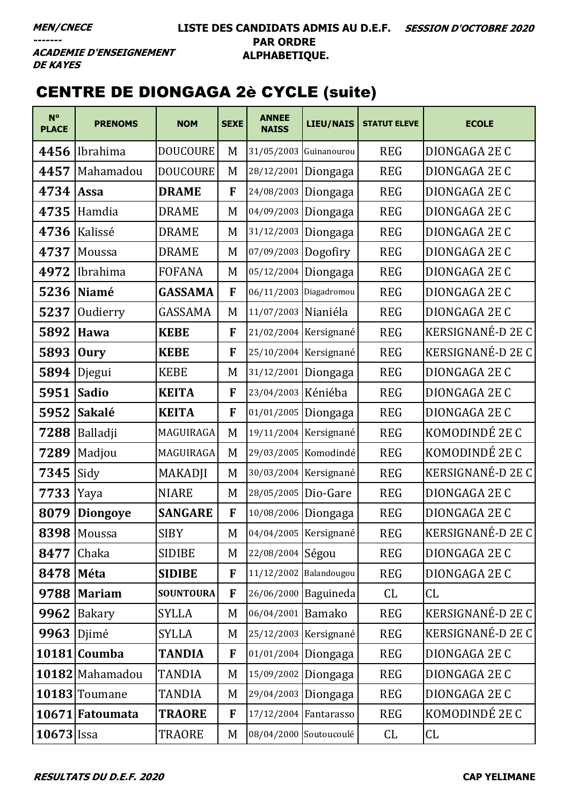#### **LISTE DES CANDIDATS ADMIS AU D.E.F. SESSION D'OCTOBRE 2020 PAR ORDRE ALPHABETIQUE.**

**ACADEMIE D'ENSEIGNEMENT DE KAYES** 

# CENTRE DE DIONGAGA 2è CYCLE (suite)

| $N^{\circ}$<br><b>PLACE</b> | <b>PRENOMS</b>  | <b>NOM</b>       | <b>SEXE</b>  | <b>ANNEE</b><br><b>NAISS</b> | LIEU/NAIS              | <b>STATUT ELEVE</b> | <b>ECOLE</b>             |
|-----------------------------|-----------------|------------------|--------------|------------------------------|------------------------|---------------------|--------------------------|
| 4456                        | Ibrahima        | <b>DOUCOURE</b>  | M            | 31/05/2003                   | Guinanourou            | <b>REG</b>          | DIONGAGA 2E C            |
| 4457                        | Mahamadou       | <b>DOUCOURE</b>  | M            | 28/12/2001                   | Diongaga               | <b>REG</b>          | DIONGAGA 2E C            |
| 4734                        | <b>Assa</b>     | <b>DRAME</b>     | F            | 24/08/2003                   | Diongaga               | <b>REG</b>          | DIONGAGA 2E C            |
| 4735                        | Hamdia          | <b>DRAME</b>     | M            | 04/09/2003                   | Diongaga               | <b>REG</b>          | DIONGAGA 2E C            |
| 4736                        | Kalissé         | <b>DRAME</b>     | M            |                              | 31/12/2003 Diongaga    | <b>REG</b>          | DIONGAGA 2E C            |
| 4737                        | Moussa          | <b>DRAME</b>     | M            | 07/09/2003                   | Dogofiry               | <b>REG</b>          | DIONGAGA 2E C            |
| 4972                        | Ibrahima        | <b>FOFANA</b>    | M            | 05/12/2004                   | Diongaga               | <b>REG</b>          | DIONGAGA 2E C            |
| 5236                        | Niamé           | <b>GASSAMA</b>   | F            |                              | 06/11/2003 Diagadromou | <b>REG</b>          | DIONGAGA 2E C            |
| 5237                        | Oudierry        | GASSAMA          | M            | 11/07/2003 Nianiéla          |                        | <b>REG</b>          | DIONGAGA 2E C            |
| 5892                        | Hawa            | <b>KEBE</b>      | F            |                              | 21/02/2004 Kersignané  | <b>REG</b>          | KERSIGNANÉ-D 2E C        |
| 5893                        | <b>Oury</b>     | <b>KEBE</b>      | F            |                              | 25/10/2004 Kersignané  | <b>REG</b>          | <b>KERSIGNANÉ-D 2E C</b> |
| 5894                        | Djegui          | <b>KEBE</b>      | M            | 31/12/2001 Diongaga          |                        | <b>REG</b>          | DIONGAGA 2E C            |
| 5951                        | <b>Sadio</b>    | <b>KEITA</b>     | F            | 23/04/2003 Kéniéba           |                        | <b>REG</b>          | DIONGAGA 2E C            |
| 5952                        | Sakalé          | <b>KEITA</b>     | F            |                              | 01/01/2005 Diongaga    | <b>REG</b>          | DIONGAGA 2E C            |
| 7288                        | Balladji        | MAGUIRAGA        | M            |                              | 19/11/2004 Kersignané  | <b>REG</b>          | KOMODINDÉ 2E C           |
| 7289                        | Madjou          | MAGUIRAGA        | M            |                              | 29/03/2005 Komodindé   | <b>REG</b>          | KOMODINDÉ 2E C           |
| 7345                        | Sidy            | <b>MAKADJI</b>   | M            |                              | 30/03/2004 Kersignané  | <b>REG</b>          | KERSIGNANÉ-D 2E C        |
| 7733                        | Yaya            | <b>NIARE</b>     | M            | 28/05/2005 Dio-Gare          |                        | <b>REG</b>          | DIONGAGA 2E C            |
| 8079                        | <b>Diongoye</b> | <b>SANGARE</b>   | F            | 10/08/2006 Diongaga          |                        | <b>REG</b>          | DIONGAGA 2E C            |
|                             | 8398 Moussa     | <b>SIBY</b>      | M            |                              | 04/04/2005 Kersignané  | <b>REG</b>          | KERSIGNANÉ-D 2E C        |
| 8477                        | Chaka           | SIDIBE           | M            | 22/08/2004 Ségou             |                        | <b>REG</b>          | DIONGAGA 2E C            |
| 8478                        | Méta            | <b>SIDIBE</b>    | $\mathbf{F}$ | 11/12/2002 Balandougou       |                        | <b>REG</b>          | DIONGAGA 2E C            |
| 9788                        | Mariam          | <b>SOUNTOURA</b> | F            |                              | 26/06/2000 Baguineda   | CL                  | CL                       |
| 9962                        | Bakary          | <b>SYLLA</b>     | M            | 06/04/2001 Bamako            |                        | <b>REG</b>          | KERSIGNANÉ-D 2E C        |
| 9963                        | Djimé           | <b>SYLLA</b>     | M            |                              | 25/12/2003 Kersignané  | <b>REG</b>          | KERSIGNANÉ-D 2E C        |
|                             | 10181 Coumba    | <b>TANDIA</b>    | F            | 01/01/2004 Diongaga          |                        | <b>REG</b>          | DIONGAGA 2E C            |
|                             | 10182 Mahamadou | <b>TANDIA</b>    | M            | 15/09/2002 Diongaga          |                        | <b>REG</b>          | DIONGAGA 2E C            |
|                             | 10183 Toumane   | TANDIA           | M            |                              | 29/04/2003 Diongaga    | <b>REG</b>          | DIONGAGA 2E C            |
|                             | 10671 Fatoumata | <b>TRAORE</b>    | F            | 17/12/2004 Fantarasso        |                        | <b>REG</b>          | KOMODINDÉ 2E C           |
| $10673$ Issa                |                 | TRAORE           | M            | 08/04/2000 Soutoucoulé       |                        | CL                  | CL                       |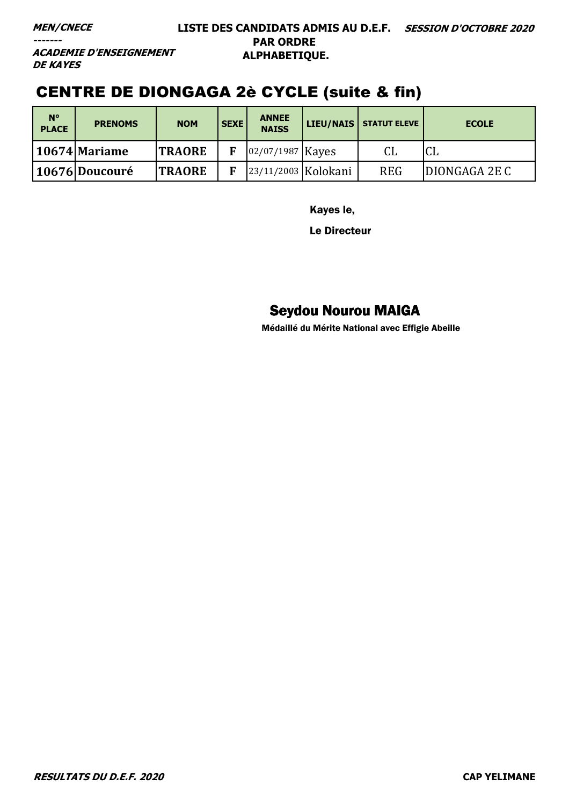**MEN/CNECE** 

-------

#### LISTE DES CANDIDATS ADMIS AU D.E.F. SESSION D'OCTOBRE 2020 **PAR ORDRE** ALPHABETIQUE.

**ACADEMIE D'ENSEIGNEMENT DE KAYES** 

# **CENTRE DE DIONGAGA 2è CYCLE (suite & fin)**

| $N^{\circ}$<br><b>PLACE</b> | <b>PRENOMS</b>  | <b>NOM</b>    | <b>SEXE</b> | <b>ANNEE</b><br><b>NAISS</b> | LIEU/NAIS | <b>STATUT ELEVE</b> | <b>ECOLE</b>  |
|-----------------------------|-----------------|---------------|-------------|------------------------------|-----------|---------------------|---------------|
|                             | 10674   Mariame | <b>TRAORE</b> |             | 02/07/1987 Kayes             |           | CL                  | Lы            |
|                             | 10676 Doucouré  | <b>TRAORE</b> |             | 23/11/2003 Kolokani          |           | <b>REG</b>          | DIONGAGA 2E C |

Kayes le,

Le Directeur

### **Seydou Nourou MAIGA**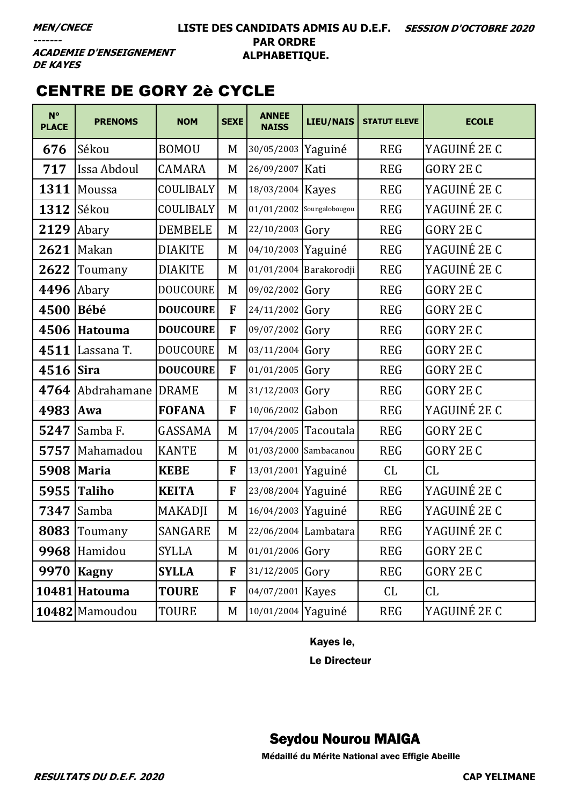#### **LISTE DES CANDIDATS ADMIS AU D.E.F. SESSION D'OCTOBRE 2020 PAR ORDRE ALPHABETIQUE.**

**ACADEMIE D'ENSEIGNEMENT DE KAYES** 

# CENTRE DE GORY 2è CYCLE

| $N^{\circ}$<br><b>PLACE</b> | <b>PRENOMS</b> | <b>NOM</b>      | <b>SEXE</b>  | <b>ANNEE</b><br><b>NAISS</b> | LIEU/NAIS              | <b>STATUT ELEVE</b> | <b>ECOLE</b>     |
|-----------------------------|----------------|-----------------|--------------|------------------------------|------------------------|---------------------|------------------|
| 676                         | Sékou          | <b>BOMOU</b>    | M            | 30/05/2003                   | Yaguiné                | <b>REG</b>          | YAGUINÉ 2E C     |
| 717                         | Issa Abdoul    | <b>CAMARA</b>   | M            | 26/09/2007                   | Kati                   | <b>REG</b>          | <b>GORY 2E C</b> |
| 1311                        | Moussa         | COULIBALY       | M            | 18/03/2004                   | <b>Kayes</b>           | <b>REG</b>          | YAGUINÉ 2E C     |
| 1312                        | Sékou          | COULIBALY       | M            | 01/01/2002                   | Soungalobougou         | <b>REG</b>          | YAGUINÉ 2E C     |
| 2129                        | Abary          | <b>DEMBELE</b>  | M            | 22/10/2003                   | Gory                   | <b>REG</b>          | <b>GORY 2E C</b> |
| 2621                        | Makan          | <b>DIAKITE</b>  | M            | 04/10/2003                   | Yaguiné                | <b>REG</b>          | YAGUINÉ 2E C     |
| 2622                        | Toumany        | <b>DIAKITE</b>  | M            |                              | 01/01/2004 Barakorodji | <b>REG</b>          | YAGUINÉ 2E C     |
| 4496                        | Abary          | <b>DOUCOURE</b> | M            | 09/02/2002                   | Gory                   | <b>REG</b>          | <b>GORY 2E C</b> |
| 4500                        | <b>Bébé</b>    | <b>DOUCOURE</b> | F            | 24/11/2002                   | Gory                   | <b>REG</b>          | <b>GORY 2E C</b> |
| 4506                        | <b>Hatouma</b> | <b>DOUCOURE</b> | F            | 09/07/2002                   | Gory                   | <b>REG</b>          | <b>GORY 2E C</b> |
| 4511                        | Lassana T.     | <b>DOUCOURE</b> | M            | 03/11/2004                   | Gory                   | <b>REG</b>          | GORY 2E C        |
| 4516                        | <b>Sira</b>    | <b>DOUCOURE</b> | F            | 01/01/2005                   | Gory                   | <b>REG</b>          | <b>GORY 2E C</b> |
| 4764                        | Abdrahamane    | <b>DRAME</b>    | M            | 31/12/2003                   | Gory                   | <b>REG</b>          | <b>GORY 2E C</b> |
| 4983                        | Awa            | <b>FOFANA</b>   | F            | 10/06/2002                   | Gabon                  | <b>REG</b>          | YAGUINÉ 2E C     |
| 5247                        | Samba F.       | GASSAMA         | M            | 17/04/2005                   | Tacoutala              | <b>REG</b>          | <b>GORY 2E C</b> |
| 5757                        | Mahamadou      | <b>KANTE</b>    | M            | 01/03/2000                   | Sambacanou             | <b>REG</b>          | GORY 2E C        |
| 5908                        | <b>Maria</b>   | <b>KEBE</b>     | F            | 13/01/2001                   | Yaguiné                | CL                  | CL               |
| 5955                        | <b>Taliho</b>  | <b>KEITA</b>    | F            | 23/08/2004                   | Yaguiné                | <b>REG</b>          | YAGUINÉ 2E C     |
| 7347                        | Samba          | MAKADJI         | M            | 16/04/2003                   | Yaguiné                | <b>REG</b>          | YAGUINÉ 2E C     |
|                             | 8083 Toumany   | SANGARE         | M            |                              | 22/06/2004 Lambatara   | <b>REG</b>          | YAGUINÉ 2E C     |
|                             | 9968 Hamidou   | <b>SYLLA</b>    | M            | 01/01/2006 Gory              |                        | <b>REG</b>          | GORY 2E C        |
| 9970                        | Kagny          | <b>SYLLA</b>    | $\mathbf{F}$ | 31/12/2005                   | Gory                   | <b>REG</b>          | <b>GORY 2E C</b> |
|                             | 10481 Hatouma  | <b>TOURE</b>    | F            | 04/07/2001 Kayes             |                        | CL                  | CL               |
|                             | 10482 Mamoudou | TOURE           | M            | 10/01/2004 Yaguiné           |                        | <b>REG</b>          | YAGUINÉ 2E C     |

Kayes le,

Le Directeur

### Seydou Nourou MAIGA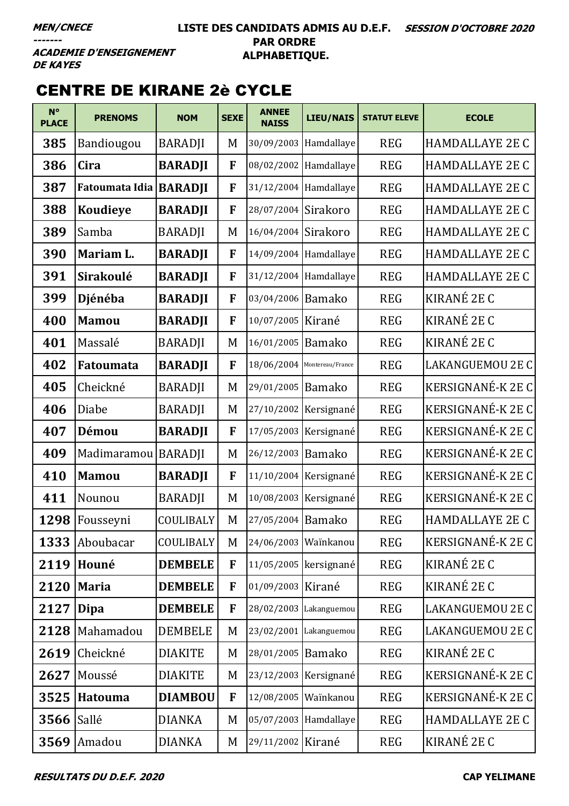#### LISTE DES CANDIDATS ADMIS AU D.E.F. SESSION D'OCTOBRE 2020 **PAR ORDRE** ALPHABETIQUE.

**ACADEMIE D'ENSEIGNEMENT DE KAYES** 

# **CENTRE DE KIRANE 2è CYCLE**

| $N^{\circ}$<br><b>PLACE</b> | <b>PRENOMS</b>           | <b>NOM</b>       | <b>SEXE</b> | <b>ANNEE</b><br><b>NAISS</b> | <b>LIEU/NAIS</b>       | <b>STATUT ELEVE</b> | <b>ECOLE</b>           |
|-----------------------------|--------------------------|------------------|-------------|------------------------------|------------------------|---------------------|------------------------|
| 385                         | Bandiougou               | <b>BARADJI</b>   | M           |                              | 30/09/2003 Hamdallaye  | <b>REG</b>          | <b>HAMDALLAYE 2E C</b> |
| 386                         | Cira                     | <b>BARADJI</b>   | F           | 08/02/2002                   | Hamdallaye             | <b>REG</b>          | <b>HAMDALLAYE 2E C</b> |
| 387                         | Fatoumata Idia   BARADJI |                  | F           | 31/12/2004                   | Hamdallaye             | <b>REG</b>          | <b>HAMDALLAYE 2E C</b> |
| 388                         | <b>Koudieye</b>          | <b>BARADJI</b>   | F           | 28/07/2004                   | Sirakoro               | <b>REG</b>          | <b>HAMDALLAYE 2E C</b> |
| 389                         | Samba                    | <b>BARADJI</b>   | M           | 16/04/2004                   | Sirakoro               | <b>REG</b>          | <b>HAMDALLAYE 2E C</b> |
| 390                         | Mariam L.                | <b>BARADJI</b>   | F           | 14/09/2004                   | Hamdallaye             | <b>REG</b>          | <b>HAMDALLAYE 2E C</b> |
| 391                         | <b>Sirakoulé</b>         | <b>BARADJI</b>   | F           | 31/12/2004                   | Hamdallaye             | <b>REG</b>          | <b>HAMDALLAYE 2E C</b> |
| 399                         | Djénéba                  | <b>BARADJI</b>   | F           | 03/04/2006 Bamako            |                        | <b>REG</b>          | KIRANÉ 2E C            |
| 400                         | <b>Mamou</b>             | <b>BARADJI</b>   | F           | 10/07/2005                   | Kirané                 | <b>REG</b>          | KIRANÉ 2E C            |
| 401                         | Massalé                  | <b>BARADJI</b>   | M           | 16/01/2005                   | Bamako                 | <b>REG</b>          | KIRANÉ 2E C            |
| 402                         | Fatoumata                | <b>BARADJI</b>   | F           | 18/06/2004                   | Montereau/France       | <b>REG</b>          | LAKANGUEMOU 2E C       |
| 405                         | Cheickné                 | <b>BARADJI</b>   | M           | 29/01/2005                   | <b>Bamako</b>          | <b>REG</b>          | KERSIGNANÉ-K 2E C      |
| 406                         | Diabe                    | <b>BARADJI</b>   | M           | 27/10/2002                   | Kersignané             | <b>REG</b>          | KERSIGNANÉ-K 2E C      |
| 407                         | Démou                    | <b>BARADJI</b>   | F           | 17/05/2003                   | Kersignané             | <b>REG</b>          | KERSIGNANÉ-K 2E C      |
| 409                         | Madimaramou   BARADJI    |                  | M           | 26/12/2003 Bamako            |                        | <b>REG</b>          | KERSIGNANÉ-K 2E C      |
| 410                         | <b>Mamou</b>             | <b>BARADJI</b>   | F           | 11/10/2004                   | Kersignané             | <b>REG</b>          | KERSIGNANÉ-K 2E C      |
| 411                         | Nounou                   | <b>BARADJI</b>   | M           | 10/08/2003                   | Kersignané             | <b>REG</b>          | KERSIGNANÉ-K 2E C      |
| 1298                        | Fousseyni                | COULIBALY        | M           | 27/05/2004 Bamako            |                        | <b>REG</b>          | <b>HAMDALLAYE 2E C</b> |
|                             | 1333 Aboubacar           | <b>COULIBALY</b> | M           | 24/06/2003 Wainkanou         |                        | <b>REG</b>          | KERSIGNANÉ-K 2E C      |
| 2119                        | Houné                    | <b>DEMBELE</b>   | F           |                              | 11/05/2005 kersignané  | <b>REG</b>          | KIRANÉ 2E C            |
| 2120                        | <b>Maria</b>             | <b>DEMBELE</b>   | F           | 01/09/2003 Kirané            |                        | <b>REG</b>          | KIRANÉ 2E C            |
| 2127                        | Dipa                     | <b>DEMBELE</b>   | F           |                              | 28/02/2003 Lakanguemou | <b>REG</b>          | LAKANGUEMOU 2E C       |
| 2128                        | Mahamadou                | <b>DEMBELE</b>   | M           |                              | 23/02/2001 Lakanguemou | <b>REG</b>          | LAKANGUEMOU 2E C       |
| 2619                        | Cheickné                 | <b>DIAKITE</b>   | M           | 28/01/2005 Bamako            |                        | <b>REG</b>          | KIRANÉ 2E C            |
| 2627                        | Moussé                   | <b>DIAKITE</b>   | M           |                              | 23/12/2003 Kersignané  | <b>REG</b>          | KERSIGNANÉ-K 2E C      |
| 3525                        | Hatouma                  | <b>DIAMBOU</b>   | F           | 12/08/2005                   | Waïnkanou              | <b>REG</b>          | KERSIGNANÉ-K 2E C      |
| 3566                        | Sallé                    | <b>DIANKA</b>    | M           |                              | 05/07/2003 Hamdallaye  | <b>REG</b>          | <b>HAMDALLAYE 2E C</b> |
| 3569                        | Amadou                   | <b>DIANKA</b>    | M           | 29/11/2002 Kirané            |                        | <b>REG</b>          | KIRANÉ 2E C            |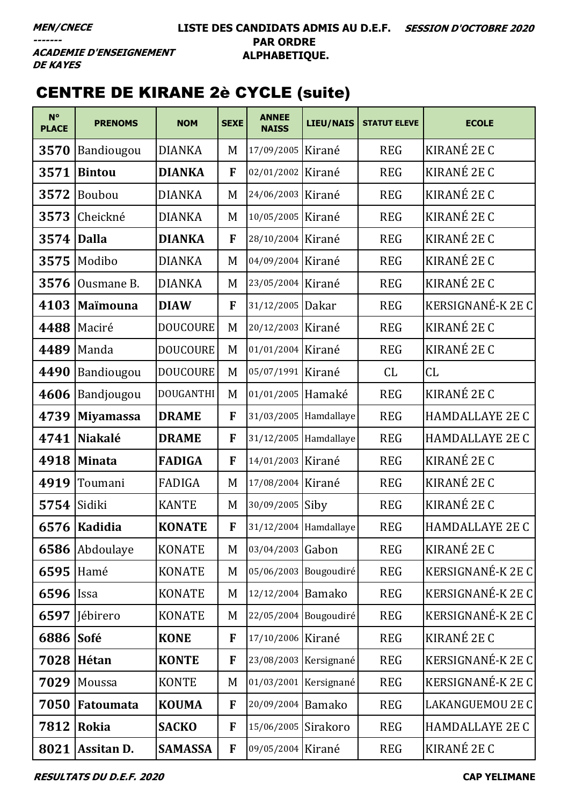**ACADEMIE D'ENSEIGNEMENT DE KAYES** 

# CENTRE DE KIRANE 2è CYCLE (suite)

| $N^{\circ}$<br><b>PLACE</b> | <b>PRENOMS</b>    | <b>NOM</b>       | <b>SEXE</b>  | <b>ANNEE</b><br><b>NAISS</b> | LIEU/NAIS             | <b>STATUT ELEVE</b> | <b>ECOLE</b>             |
|-----------------------------|-------------------|------------------|--------------|------------------------------|-----------------------|---------------------|--------------------------|
| 3570                        | Bandiougou        | <b>DIANKA</b>    | M            | 17/09/2005 Kirané            |                       | <b>REG</b>          | KIRANÉ 2E C              |
| 3571                        | <b>Bintou</b>     | <b>DIANKA</b>    | F            | 02/01/2002 Kirané            |                       | <b>REG</b>          | KIRANÉ 2E C              |
| 3572                        | Boubou            | <b>DIANKA</b>    | M            | 24/06/2003                   | Kirané                | <b>REG</b>          | KIRANÉ 2E C              |
| 3573                        | Cheickné          | <b>DIANKA</b>    | M            | 10/05/2005 Kirané            |                       | <b>REG</b>          | KIRANÉ 2E C              |
| 3574                        | Dalla             | <b>DIANKA</b>    | F            | 28/10/2004 Kirané            |                       | <b>REG</b>          | KIRANÉ 2E C              |
| 3575                        | Modibo            | <b>DIANKA</b>    | M            | 04/09/2004 Kirané            |                       | <b>REG</b>          | KIRANÉ 2E C              |
| 3576                        | Ousmane B.        | <b>DIANKA</b>    | M            | 23/05/2004 Kirané            |                       | <b>REG</b>          | KIRANÉ 2E C              |
| 4103                        | Maïmouna          | <b>DIAW</b>      | F            | 31/12/2005                   | Dakar                 | <b>REG</b>          | <b>KERSIGNANÉ-K 2E C</b> |
| 4488                        | Maciré            | <b>DOUCOURE</b>  | M            | 20/12/2003 Kirané            |                       | <b>REG</b>          | KIRANÉ 2E C              |
| 4489                        | Manda             | <b>DOUCOURE</b>  | M            | 01/01/2004 Kirané            |                       | <b>REG</b>          | KIRANÉ 2E C              |
| 4490                        | Bandiougou        | <b>DOUCOURE</b>  | M            | 05/07/1991 Kirané            |                       | CL                  | CL                       |
| 4606                        | Bandjougou        | <b>DOUGANTHI</b> | M            | 01/01/2005 Hamaké            |                       | <b>REG</b>          | KIRANÉ 2E C              |
| 4739                        | <b>Miyamassa</b>  | <b>DRAME</b>     | F            |                              | 31/03/2005 Hamdallaye | <b>REG</b>          | <b>HAMDALLAYE 2E C</b>   |
| 4741                        | <b>Niakalé</b>    | <b>DRAME</b>     | F            |                              | 31/12/2005 Hamdallaye | <b>REG</b>          | <b>HAMDALLAYE 2E C</b>   |
| 4918                        | Minata            | <b>FADIGA</b>    | F            | 14/01/2003 Kirané            |                       | <b>REG</b>          | KIRANÉ 2E C              |
| 4919                        | Toumani           | FADIGA           | M            | 17/08/2004 Kirané            |                       | <b>REG</b>          | KIRANÉ 2E C              |
| 5754                        | Sidiki            | <b>KANTE</b>     | M            | 30/09/2005 Siby              |                       | <b>REG</b>          | KIRANÉ 2E C              |
|                             | 6576   Kadidia    | <b>KONATE</b>    | F            | 31/12/2004 Hamdallaye        |                       | <b>REG</b>          | <b>HAMDALLAYE 2E C</b>   |
| 6586                        | Abdoulaye         | <b>KONATE</b>    | M            | 03/04/2003                   | Gabon                 | <b>REG</b>          | KIRANÉ 2E C              |
| 6595 Hamé                   |                   | <b>KONATE</b>    | M            |                              | 05/06/2003 Bougoudiré | <b>REG</b>          | KERSIGNANÉ-K 2E C        |
| 6596                        | <b>Issa</b>       | <b>KONATE</b>    | M            | 12/12/2004 Bamako            |                       | <b>REG</b>          | KERSIGNANÉ-K 2E C        |
| 6597                        | Jébirero          | <b>KONATE</b>    | M            |                              | 22/05/2004 Bougoudiré | <b>REG</b>          | KERSIGNANÉ-K 2E C        |
| 6886                        | Sofé              | <b>KONE</b>      | F            | 17/10/2006 Kirané            |                       | <b>REG</b>          | KIRANÉ 2E C              |
|                             | 7028 Hétan        | <b>KONTE</b>     | F            | 23/08/2003 Kersignané        |                       | <b>REG</b>          | KERSIGNANÉ-K 2E C        |
| 7029                        | Moussa            | <b>KONTE</b>     | M            | 01/03/2001 Kersignané        |                       | <b>REG</b>          | KERSIGNANÉ-K 2E C        |
| 7050                        | Fatoumata         | <b>KOUMA</b>     | F            | 20/09/2004 Bamako            |                       | <b>REG</b>          | LAKANGUEMOU 2E C         |
| 7812                        | Rokia             | <b>SACKO</b>     | F            | 15/06/2005 Sirakoro          |                       | <b>REG</b>          | <b>HAMDALLAYE 2E C</b>   |
| 8021                        | <b>Assitan D.</b> | <b>SAMASSA</b>   | $\mathbf{F}$ | 09/05/2004 Kirané            |                       | <b>REG</b>          | KIRANÉ 2E C              |

**RESULTATS DU D.E.F. 2020 CAP YELIMANE**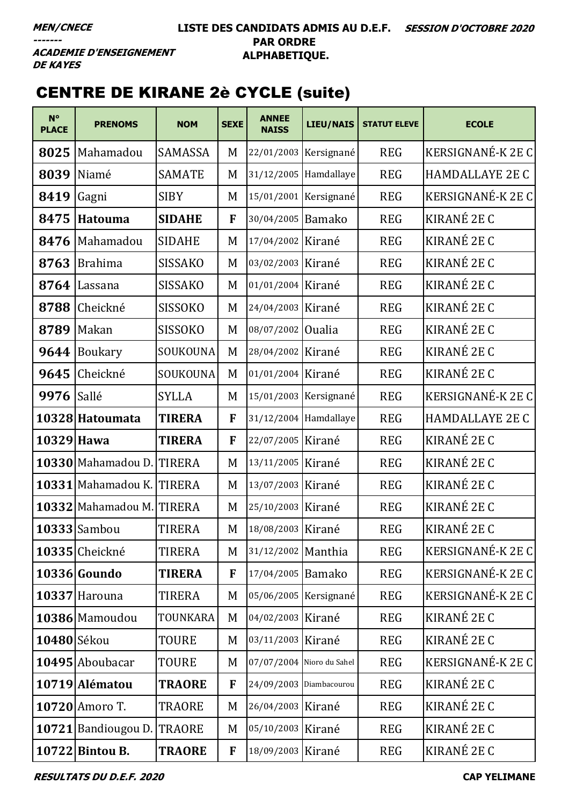# CENTRE DE KIRANE 2è CYCLE (suite)

| $N^{\circ}$<br><b>PLACE</b> | <b>PRENOMS</b>            | <b>NOM</b>     | <b>SEXE</b>  | <b>ANNEE</b><br><b>NAISS</b> | <b>LIEU/NAIS</b>      | <b>STATUT ELEVE</b> | <b>ECOLE</b>             |
|-----------------------------|---------------------------|----------------|--------------|------------------------------|-----------------------|---------------------|--------------------------|
| 8025                        | Mahamadou                 | SAMASSA        | M            |                              | 22/01/2003 Kersignané | <b>REG</b>          | KERSIGNANÉ-K 2E C        |
| 8039                        | Niamé                     | <b>SAMATE</b>  | M            |                              | 31/12/2005 Hamdallaye | <b>REG</b>          | <b>HAMDALLAYE 2E C</b>   |
| 8419                        | Gagni                     | <b>SIBY</b>    | M            |                              | 15/01/2001 Kersignané | <b>REG</b>          | KERSIGNANÉ-K 2E C        |
| 8475                        | Hatouma                   | <b>SIDAHE</b>  | F            | 30/04/2005 Bamako            |                       | <b>REG</b>          | KIRANÉ 2E C              |
| 8476                        | Mahamadou                 | <b>SIDAHE</b>  | M            | 17/04/2002                   | Kirané                | <b>REG</b>          | KIRANÉ 2E C              |
| 8763                        | <b>Brahima</b>            | <b>SISSAKO</b> | M            | 03/02/2003 Kirané            |                       | <b>REG</b>          | KIRANÉ 2E C              |
| 8764                        | Lassana                   | <b>SISSAKO</b> | M            | 01/01/2004 Kirané            |                       | <b>REG</b>          | KIRANÉ 2E C              |
| 8788                        | Cheickné                  | <b>SISSOKO</b> | M            | 24/04/2003 Kirané            |                       | <b>REG</b>          | KIRANÉ 2E C              |
| 8789                        | Makan                     | <b>SISSOKO</b> | M            | 08/07/2002                   | <b>Oualia</b>         | <b>REG</b>          | KIRANÉ 2E C              |
| 9644                        | Boukary                   | SOUKOUNA       | M            | 28/04/2002 Kirané            |                       | <b>REG</b>          | KIRANÉ 2E C              |
| 9645                        | Cheickné                  | SOUKOUNA       | M            | 01/01/2004 Kirané            |                       | <b>REG</b>          | KIRANÉ 2E C              |
| 9976                        | Sallé                     | <b>SYLLA</b>   | M            |                              | 15/01/2003 Kersignané | <b>REG</b>          | KERSIGNANÉ-K 2E C        |
|                             | 10328 Hatoumata           | <b>TIRERA</b>  | $\mathbf{F}$ |                              | 31/12/2004 Hamdallaye | <b>REG</b>          | <b>HAMDALLAYE 2E C</b>   |
| 10329 Hawa                  |                           | <b>TIRERA</b>  | F            | 22/07/2005 Kirané            |                       | <b>REG</b>          | KIRANÉ 2E C              |
|                             | 10330 Mahamadou D. TIRERA |                | M            | 13/11/2005 Kirané            |                       | <b>REG</b>          | KIRANÉ 2E C              |
|                             | 10331 Mahamadou K. TIRERA |                | M            | 13/07/2003 Kirané            |                       | <b>REG</b>          | KIRANÉ 2E C              |
|                             | 10332 Mahamadou M. TIRERA |                | M            | 25/10/2003 Kirané            |                       | <b>REG</b>          | KIRANÉ 2E C              |
|                             | $10333$ Sambou            | <b>TIRERA</b>  | M            | 18/08/2003 Kirané            |                       | <b>REG</b>          | KIRANÉ 2E C              |
|                             | 10335 Cheickné            | <b>TIRERA</b>  | M            | 31/12/2002 Manthia           |                       | <b>REG</b>          | <b>KERSIGNANÉ-K 2E C</b> |
|                             | $10336$ Goundo            | <b>TIRERA</b>  | F            | 17/04/2005 Bamako            |                       | <b>REG</b>          | KERSIGNANÉ-K 2E C        |
|                             | 10337 Harouna             | <b>TIRERA</b>  | M            |                              | 05/06/2005 Kersignané | <b>REG</b>          | KERSIGNANÉ-K 2E C        |
|                             | 10386 Mamoudou            | TOUNKARA       | M            | 04/02/2003 Kirané            |                       | <b>REG</b>          | KIRANÉ 2E C              |
| 10480 Sékou                 |                           | <b>TOURE</b>   | M            | 03/11/2003 Kirané            |                       | <b>REG</b>          | KIRANÉ 2E C              |
|                             | 10495 Aboubacar           | <b>TOURE</b>   | M            | 07/07/2004 Nioro du Sahel    |                       | <b>REG</b>          | <b>KERSIGNANÉ-K 2E C</b> |
|                             | 10719 Alématou            | <b>TRAORE</b>  | F            | 24/09/2003 Diambacourou      |                       | <b>REG</b>          | KIRANÉ 2E C              |
|                             | 10720 Amoro T.            | <b>TRAORE</b>  | M            | 26/04/2003 Kirané            |                       | <b>REG</b>          | KIRANÉ 2E C              |
|                             | 10721 Bandiougou D.       | <b>TRAORE</b>  | M            | 05/10/2003 Kirané            |                       | <b>REG</b>          | KIRANÉ 2E C              |
|                             | 10722 Bintou B.           | <b>TRAORE</b>  | $\mathbf{F}$ | 18/09/2003 Kirané            |                       | <b>REG</b>          | KIRANÉ 2E C              |

**RESULTATS DU D.E.F. 2020 CAP YELIMANE**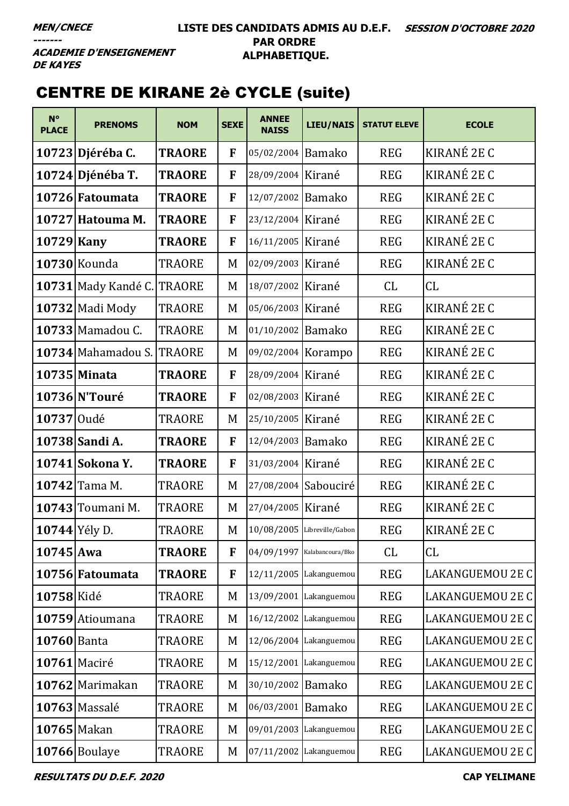**ACADEMIE D'ENSEIGNEMENT DE KAYES** 

# CENTRE DE KIRANE 2è CYCLE (suite)

| $N^{\circ}$<br><b>PLACE</b> | <b>PRENOMS</b>             | <b>NOM</b>    | <b>SEXE</b> | <b>ANNEE</b><br><b>NAISS</b> | <b>LIEU/NAIS</b> | <b>STATUT ELEVE</b> | <b>ECOLE</b>            |
|-----------------------------|----------------------------|---------------|-------------|------------------------------|------------------|---------------------|-------------------------|
|                             | 10723 Djéréba C.           | <b>TRAORE</b> | F           | 05/02/2004 Bamako            |                  | <b>REG</b>          | KIRANÉ 2E C             |
|                             | 10724 Djénéba T.           | <b>TRAORE</b> | F           | 28/09/2004 Kirané            |                  | <b>REG</b>          | KIRANÉ 2E C             |
|                             | 10726 Fatoumata            | <b>TRAORE</b> | F           | 12/07/2002 Bamako            |                  | <b>REG</b>          | KIRANÉ 2E C             |
|                             | 10727 Hatouma M.           | <b>TRAORE</b> | F           | 23/12/2004 Kirané            |                  | <b>REG</b>          | KIRANÉ 2E C             |
| 10729 Kany                  |                            | <b>TRAORE</b> | F           | 16/11/2005 Kirané            |                  | <b>REG</b>          | KIRANÉ 2E C             |
|                             | 10730 Kounda               | TRAORE        | M           | 02/09/2003 Kirané            |                  | <b>REG</b>          | KIRANÉ 2E C             |
|                             | <b>10731 Mady Kandé C.</b> | <b>TRAORE</b> | M           | 18/07/2002 Kirané            |                  | CL                  | CL                      |
|                             | 10732 Madi Mody            | TRAORE        | M           | 05/06/2003 Kirané            |                  | <b>REG</b>          | KIRANÉ 2E C             |
|                             | 10733 Mamadou C.           | <b>TRAORE</b> | M           | 01/10/2002 Bamako            |                  | <b>REG</b>          | KIRANÉ 2E C             |
|                             | 10734 Mahamadou S.         | <b>TRAORE</b> | M           | 09/02/2004 Korampo           |                  | <b>REG</b>          | KIRANÉ 2E C             |
|                             | 10735 Minata               | <b>TRAORE</b> | F           | 28/09/2004 Kirané            |                  | <b>REG</b>          | KIRANÉ 2E C             |
|                             | 10736 N'Touré              | <b>TRAORE</b> | F           | 02/08/2003 Kirané            |                  | <b>REG</b>          | KIRANÉ 2E C             |
| 10737 Oudé                  |                            | TRAORE        | M           | 25/10/2005 Kirané            |                  | <b>REG</b>          | KIRANÉ 2E C             |
|                             | 10738 Sandi A.             | <b>TRAORE</b> | F           | 12/04/2003 Bamako            |                  | <b>REG</b>          | KIRANÉ 2E C             |
|                             | 10741 Sokona Y.            | <b>TRAORE</b> | F           | 31/03/2004 Kirané            |                  | <b>REG</b>          | KIRANÉ 2E C             |
|                             | 10742 Tama M.              | TRAORE        | M           | 27/08/2004 Sabouciré         |                  | <b>REG</b>          | KIRANÉ 2E C             |
|                             | 10743 Toumani M.           | <b>TRAORE</b> | M           | 27/04/2005 Kirané            |                  | <b>REG</b>          | KIRANÉ 2E C             |
| 10744 Yély D.               |                            | <b>TRAORE</b> | M           | 10/08/2005 Libreville/Gabon  |                  | <b>REG</b>          | KIRANÉ 2E C             |
| $10745$ Awa                 |                            | <b>TRAORE</b> | F           | 04/09/1997 Kalabancoura/Bko  |                  | CL                  | <b>CL</b>               |
|                             | 10756 Fatoumata            | <b>TRAORE</b> | F           | 12/11/2005 Lakanguemou       |                  | <b>REG</b>          | LAKANGUEMOU 2E C        |
| 10758 Kidé                  |                            | TRAORE        | M           | 13/09/2001 Lakanguemou       |                  | <b>REG</b>          | <b>LAKANGUEMOU 2E C</b> |
|                             | 10759 Atioumana            | TRAORE        | M           | 16/12/2002 Lakanguemou       |                  | <b>REG</b>          | LAKANGUEMOU 2E C        |
| 10760 Banta                 |                            | TRAORE        | M           | 12/06/2004 Lakanguemou       |                  | <b>REG</b>          | LAKANGUEMOU 2E C        |
| $10761$ Maciré              |                            | TRAORE        | M           | 15/12/2001 Lakanguemou       |                  | <b>REG</b>          | LAKANGUEMOU 2E C        |
|                             | 10762 Marimakan            | <b>TRAORE</b> | M           | 30/10/2002 Bamako            |                  | <b>REG</b>          | LAKANGUEMOU 2E C        |
|                             | 10763 Massalé              | <b>TRAORE</b> | M           | 06/03/2001                   | <b>Bamako</b>    | <b>REG</b>          | LAKANGUEMOU 2E C        |
| 10765 Makan                 |                            | TRAORE        | M           | 09/01/2003 Lakanguemou       |                  | <b>REG</b>          | LAKANGUEMOU 2E C        |
|                             | 10766 Boulaye              | TRAORE        | M           | 07/11/2002 Lakanguemou       |                  | <b>REG</b>          | LAKANGUEMOU 2E C        |

**RESULTATS DU D.E.F. 2020 CAP YELIMANE**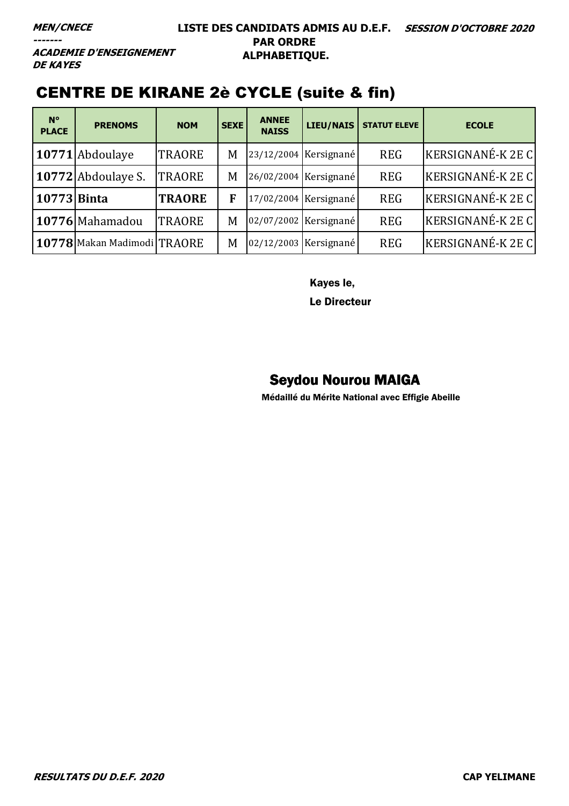**ACADEMIE D'ENSEIGNEMENT DE KAYES** 

# CENTRE DE KIRANE 2è CYCLE (suite & fin)

| $N^{\circ}$<br><b>PLACE</b> | <b>PRENOMS</b>              | <b>NOM</b>    | <b>SEXE</b> | <b>ANNEE</b><br><b>NAISS</b> | <b>LIEU/NAIS</b>        | <b>STATUT ELEVE</b> | <b>ECOLE</b>             |
|-----------------------------|-----------------------------|---------------|-------------|------------------------------|-------------------------|---------------------|--------------------------|
|                             | 10771 Abdoulaye             | <b>TRAORE</b> | M           |                              | $23/12/2004$ Kersignané | <b>REG</b>          | <b>KERSIGNANÉ-K 2E C</b> |
|                             | 10772 Abdoulaye S.          | <b>TRAORE</b> | M           |                              | 26/02/2004 Kersignané   | <b>REG</b>          | KERSIGNANÉ-K 2E C        |
| 10773 Binta                 |                             | <b>TRAORE</b> | F           |                              | 17/02/2004 Kersignané   | <b>REG</b>          | KERSIGNANÉ-K 2E C        |
|                             | 10776 Mahamadou             | <b>TRAORE</b> | M           |                              | 02/07/2002 Kersignané   | <b>REG</b>          | <b>KERSIGNANÉ-K 2E C</b> |
|                             | 10778 Makan Madimodi TRAORE |               | M           |                              | 02/12/2003 Kersignané   | <b>REG</b>          | KERSIGNANÉ-K 2E C        |

Kayes le,

Le Directeur

### Seydou Nourou MAIGA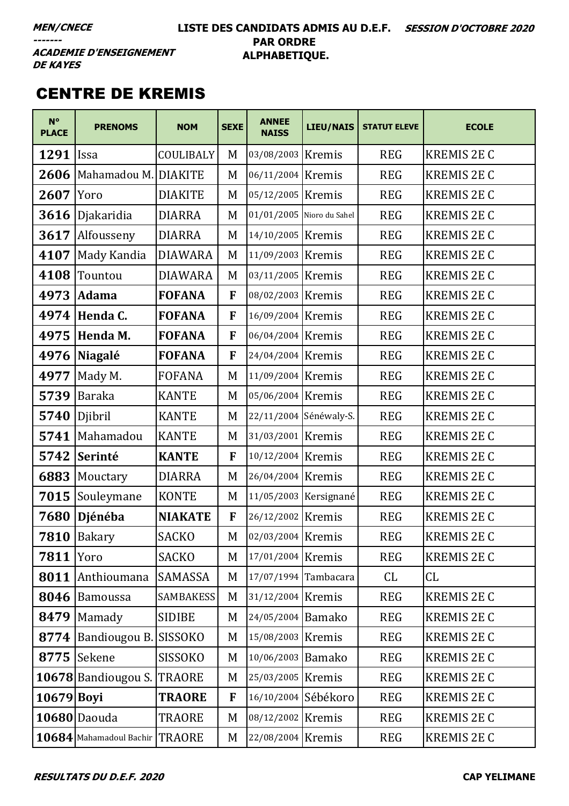#### LISTE DES CANDIDATS ADMIS AU D.E.F. SESSION D'OCTOBRE 2020 **PAR ORDRE** ALPHABETIQUE.

**ACADEMIE D'ENSEIGNEMENT DE KAYES** 

### **CENTRE DE KREMIS**

| $N^{\circ}$<br><b>PLACE</b> | <b>PRENOMS</b>                 | <b>NOM</b>       | <b>SEXE</b>  | <b>ANNEE</b><br><b>NAISS</b> | LIEU/NAIS              | <b>STATUT ELEVE</b> | <b>ECOLE</b>       |
|-----------------------------|--------------------------------|------------------|--------------|------------------------------|------------------------|---------------------|--------------------|
| 1291                        | Issa                           | COULIBALY        | M            | 03/08/2003 Kremis            |                        | <b>REG</b>          | <b>KREMIS 2E C</b> |
| 2606                        | Mahamadou M. DIAKITE           |                  | M            | 06/11/2004                   | Kremis                 | <b>REG</b>          | <b>KREMIS 2E C</b> |
| 2607                        | Yoro                           | <b>DIAKITE</b>   | M            | 05/12/2005                   | Kremis                 | <b>REG</b>          | <b>KREMIS 2E C</b> |
| 3616                        | Djakaridia                     | <b>DIARRA</b>    | M            | 01/01/2005 Nioro du Sahel    |                        | <b>REG</b>          | <b>KREMIS 2E C</b> |
| 3617                        | Alfousseny                     | <b>DIARRA</b>    | M            | 14/10/2005 Kremis            |                        | <b>REG</b>          | <b>KREMIS 2E C</b> |
| 4107                        | Mady Kandia                    | <b>DIAWARA</b>   | M            | 11/09/2003 Kremis            |                        | <b>REG</b>          | <b>KREMIS 2E C</b> |
| 4108                        | Tountou                        | <b>DIAWARA</b>   | M            | 03/11/2005                   | Kremis                 | <b>REG</b>          | <b>KREMIS 2E C</b> |
| 4973                        | <b>Adama</b>                   | <b>FOFANA</b>    | F            | 08/02/2003                   | Kremis                 | <b>REG</b>          | <b>KREMIS 2E C</b> |
| 4974                        | Henda C.                       | <b>FOFANA</b>    | F            | 16/09/2004 Kremis            |                        | <b>REG</b>          | <b>KREMIS 2E C</b> |
| 4975                        | Henda M.                       | <b>FOFANA</b>    | F            | 06/04/2004 Kremis            |                        | <b>REG</b>          | <b>KREMIS 2E C</b> |
| 4976                        | Niagalé                        | <b>FOFANA</b>    | F            | 24/04/2004                   | Kremis                 | <b>REG</b>          | <b>KREMIS 2E C</b> |
| 4977                        | Mady M.                        | <b>FOFANA</b>    | M            | 11/09/2004 Kremis            |                        | <b>REG</b>          | <b>KREMIS 2E C</b> |
| 5739                        | <b>Baraka</b>                  | <b>KANTE</b>     | M            | 05/06/2004 Kremis            |                        | <b>REG</b>          | <b>KREMIS 2E C</b> |
| 5740                        | Djibril                        | <b>KANTE</b>     | M            |                              | 22/11/2004 Sénéwaly-S. | <b>REG</b>          | <b>KREMIS 2E C</b> |
| 5741                        | Mahamadou                      | <b>KANTE</b>     | M            | 31/03/2001                   | Kremis                 | <b>REG</b>          | <b>KREMIS 2E C</b> |
| 5742                        | Serinté                        | <b>KANTE</b>     | $\mathbf{F}$ | 10/12/2004 Kremis            |                        | <b>REG</b>          | <b>KREMIS 2E C</b> |
| 6883                        | Mouctary                       | <b>DIARRA</b>    | M            | 26/04/2004 Kremis            |                        | <b>REG</b>          | <b>KREMIS 2E C</b> |
| 7015                        | Souleymane                     | <b>KONTE</b>     | M            |                              | 11/05/2003 Kersignané  | <b>REG</b>          | <b>KREMIS 2E C</b> |
| 7680                        | Djénéba                        | <b>NIAKATE</b>   | F            | 26/12/2002 Kremis            |                        | <b>REG</b>          | <b>KREMIS 2E C</b> |
| 7810                        | Bakary                         | <b>SACKO</b>     | M            | 02/03/2004 Kremis            |                        | <b>REG</b>          | <b>KREMIS 2E C</b> |
| 7811                        | Yoro                           | <b>SACKO</b>     | M            | 17/01/2004 Kremis            |                        | <b>REG</b>          | <b>KREMIS 2E C</b> |
| 8011                        | Anthioumana                    | SAMASSA          | M            |                              | 17/07/1994 Tambacara   | CL                  | CL                 |
| 8046                        | Bamoussa                       | <b>SAMBAKESS</b> | M            | 31/12/2004 Kremis            |                        | <b>REG</b>          | <b>KREMIS 2E C</b> |
| 8479                        | Mamady                         | <b>SIDIBE</b>    | M            | 24/05/2004 Bamako            |                        | <b>REG</b>          | KREMIS 2E C        |
| 8774                        | Bandiougou B. SISSOKO          |                  | M            | 15/08/2003 Kremis            |                        | <b>REG</b>          | <b>KREMIS 2E C</b> |
| 8775                        | Sekene                         | <b>SISSOKO</b>   | M            | 10/06/2003 Bamako            |                        | <b>REG</b>          | <b>KREMIS 2E C</b> |
|                             | 10678 Bandiougou S.            | <b>TRAORE</b>    | M            | 25/03/2005 Kremis            |                        | <b>REG</b>          | <b>KREMIS 2E C</b> |
| $10679$ Boyi                |                                | <b>TRAORE</b>    | F            | 16/10/2004 Sébékoro          |                        | <b>REG</b>          | KREMIS 2E C        |
|                             | 10680 Daouda                   | <b>TRAORE</b>    | M            | 08/12/2002 Kremis            |                        | <b>REG</b>          | <b>KREMIS 2E C</b> |
|                             | 10684 Mahamadoul Bachir TRAORE |                  | M            | 22/08/2004 Kremis            |                        | <b>REG</b>          | <b>KREMIS 2E C</b> |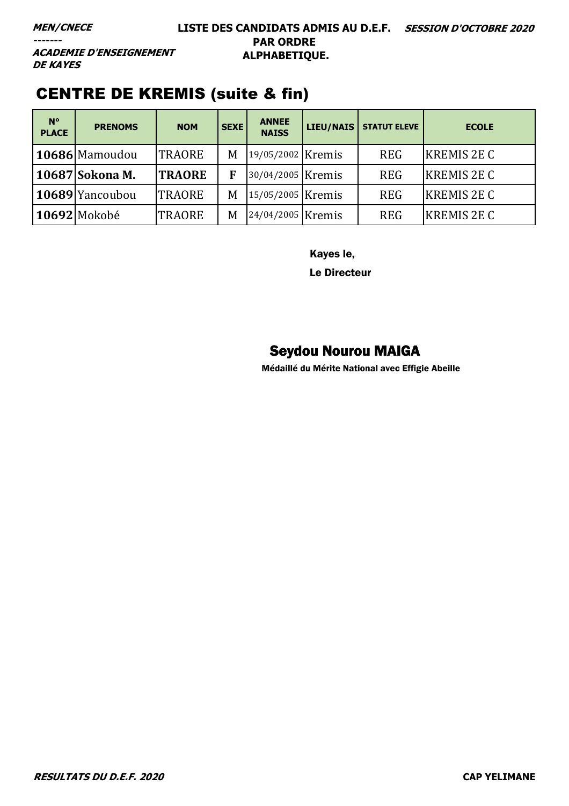#### **LISTE DES CANDIDATS ADMIS AU D.E.F. SESSION D'OCTOBRE 2020 PAR ORDRE ALPHABETIQUE.**

**ACADEMIE D'ENSEIGNEMENT DE KAYES** 

### CENTRE DE KREMIS (suite & fin)

| $N^{\circ}$<br><b>PLACE</b> | <b>PRENOMS</b>  | <b>NOM</b>    | <b>SEXE</b> | <b>ANNEE</b><br><b>NAISS</b> | LIEU/NAIS | <b>STATUT ELEVE</b> | <b>ECOLE</b>       |
|-----------------------------|-----------------|---------------|-------------|------------------------------|-----------|---------------------|--------------------|
|                             | 10686 Mamoudou  | <b>TRAORE</b> | M           | 19/05/2002 Kremis            |           | <b>REG</b>          | <b>KREMIS 2E C</b> |
|                             | 10687 Sokona M. | <b>TRAORE</b> | F           | 30/04/2005 Kremis            |           | <b>REG</b>          | <b>KREMIS 2E C</b> |
|                             | 10689 Yancoubou | <b>TRAORE</b> | M           | 15/05/2005 Kremis            |           | <b>REG</b>          | <b>KREMIS 2E C</b> |
|                             | 10692 Mokobé    | <b>TRAORE</b> | M           | 24/04/2005 Kremis            |           | <b>REG</b>          | <b>KREMIS 2E C</b> |

Kayes le,

Le Directeur

#### Seydou Nourou MAIGA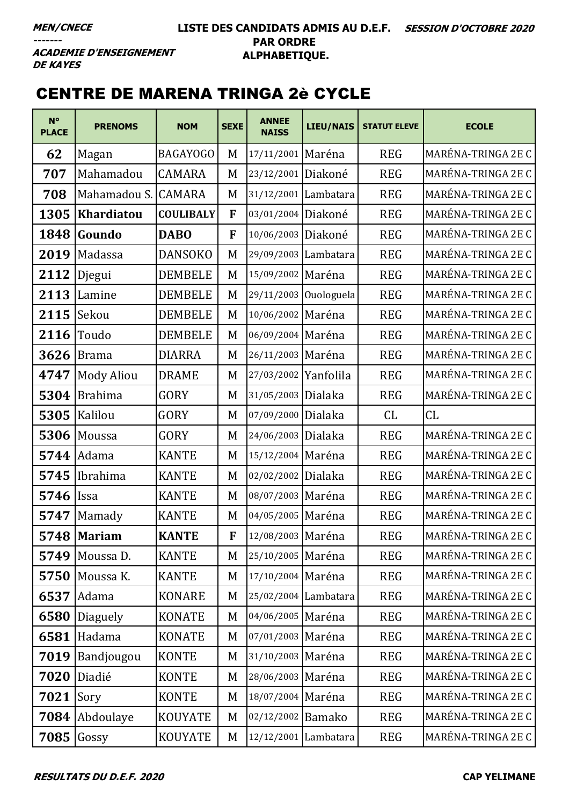#### **LISTE DES CANDIDATS ADMIS AU D.E.F. SESSION D'OCTOBRE 2020 PAR ORDRE ALPHABETIQUE.**

**ACADEMIE D'ENSEIGNEMENT DE KAYES** 

# CENTRE DE MARENA TRINGA 2è CYCLE

| $N^{\circ}$<br><b>PLACE</b> | <b>PRENOMS</b>    | <b>NOM</b>       | <b>SEXE</b> | <b>ANNEE</b><br><b>NAISS</b> | LIEU/NAIS             | <b>STATUT ELEVE</b> | <b>ECOLE</b>              |
|-----------------------------|-------------------|------------------|-------------|------------------------------|-----------------------|---------------------|---------------------------|
| 62                          | Magan             | <b>BAGAYOGO</b>  | M           | 17/11/2001 Maréna            |                       | <b>REG</b>          | <b>MARÉNA-TRINGA 2E C</b> |
| 707                         | Mahamadou         | CAMARA           | M           | 23/12/2001                   | Diakoné               | <b>REG</b>          | MARÉNA-TRINGA 2E C        |
| 708                         | Mahamadou S.      | <b>CAMARA</b>    | M           | 31/12/2001 Lambatara         |                       | <b>REG</b>          | <b>MARÉNA-TRINGA 2E C</b> |
| 1305                        | Khardiatou        | <b>COULIBALY</b> | F           | 03/01/2004 Diakoné           |                       | <b>REG</b>          | MARÉNA-TRINGA 2E C        |
| 1848                        | Goundo            | <b>DABO</b>      | F           | 10/06/2003 Diakoné           |                       | <b>REG</b>          | MARÉNA-TRINGA 2E C        |
| 2019                        | Madassa           | <b>DANSOKO</b>   | M           | 29/09/2003 Lambatara         |                       | <b>REG</b>          | MARÉNA-TRINGA 2E C        |
| 2112                        | Djegui            | <b>DEMBELE</b>   | M           | 15/09/2002 Maréna            |                       | <b>REG</b>          | MARÉNA-TRINGA 2E C        |
| 2113                        | Lamine            | <b>DEMBELE</b>   | M           |                              | 29/11/2003 Ouologuela | <b>REG</b>          | MARÉNA-TRINGA 2E C        |
| 2115                        | Sekou             | <b>DEMBELE</b>   | M           | 10/06/2002 Maréna            |                       | <b>REG</b>          | MARÉNA-TRINGA 2E C        |
| 2116                        | Toudo             | <b>DEMBELE</b>   | M           | 06/09/2004 Maréna            |                       | <b>REG</b>          | MARÉNA-TRINGA 2E C        |
| 3626                        | <b>Brama</b>      | <b>DIARRA</b>    | M           | 26/11/2003 Maréna            |                       | <b>REG</b>          | MARÉNA-TRINGA 2E C        |
| 4747                        | <b>Mody Aliou</b> | <b>DRAME</b>     | M           | 27/03/2002                   | Yanfolila             | <b>REG</b>          | MARÉNA-TRINGA 2E C        |
| 5304                        | <b>Brahima</b>    | GORY             | M           | 31/05/2003 Dialaka           |                       | <b>REG</b>          | MARÉNA-TRINGA 2E C        |
| 5305                        | Kalilou           | GORY             | M           | 07/09/2000 Dialaka           |                       | CL                  | CL                        |
| 5306                        | Moussa            | GORY             | M           | 24/06/2003 Dialaka           |                       | <b>REG</b>          | MARÉNA-TRINGA 2E C        |
| 5744                        | Adama             | <b>KANTE</b>     | M           | 15/12/2004 Maréna            |                       | <b>REG</b>          | MARÉNA-TRINGA 2E C        |
| 5745                        | Ibrahima          | <b>KANTE</b>     | M           | 02/02/2002 Dialaka           |                       | <b>REG</b>          | MARÉNA-TRINGA 2E C        |
| 5746                        | <b>Issa</b>       | <b>KANTE</b>     | M           | 08/07/2003 Maréna            |                       | <b>REG</b>          | MARÉNA-TRINGA 2E C        |
| 5747                        | Mamady            | <b>KANTE</b>     | M           | 04/05/2005 Maréna            |                       | <b>REG</b>          | MARÉNA-TRINGA 2E C        |
|                             | 5748   Mariam     | <b>KANTE</b>     | F           | 12/08/2003 Maréna            |                       | <b>REG</b>          | MARÉNA-TRINGA 2E C        |
| 5749                        | Moussa D.         | <b>KANTE</b>     | M           | 25/10/2005 Maréna            |                       | <b>REG</b>          | MARÉNA-TRINGA 2E C        |
| 5750                        | Moussa K.         | <b>KANTE</b>     | M           | 17/10/2004 Maréna            |                       | <b>REG</b>          | MARÉNA-TRINGA 2E C        |
| 6537                        | Adama             | <b>KONARE</b>    | M           | 25/02/2004 Lambatara         |                       | <b>REG</b>          | MARÉNA-TRINGA 2E C        |
| 6580                        | Diaguely          | <b>KONATE</b>    | M           | 04/06/2005 Maréna            |                       | <b>REG</b>          | MARÉNA-TRINGA 2E C        |
| 6581                        | Hadama            | <b>KONATE</b>    | M           | 07/01/2003 Maréna            |                       | <b>REG</b>          | MARÉNA-TRINGA 2E C        |
| 7019                        | Bandjougou        | <b>KONTE</b>     | M           | 31/10/2003 Maréna            |                       | <b>REG</b>          | MARÉNA-TRINGA 2E C        |
| 7020                        | Diadié            | <b>KONTE</b>     | M           | 28/06/2003 Maréna            |                       | <b>REG</b>          | MARÉNA-TRINGA 2E C        |
| 7021                        | Sory              | <b>KONTE</b>     | M           | 18/07/2004 Maréna            |                       | <b>REG</b>          | MARÉNA-TRINGA 2E C        |
| 7084                        | Abdoulaye         | <b>KOUYATE</b>   | M           | 02/12/2002 Bamako            |                       | <b>REG</b>          | MARÉNA-TRINGA 2E C        |
| 7085                        | Gossy             | <b>KOUYATE</b>   | M           | 12/12/2001 Lambatara         |                       | <b>REG</b>          | MARÉNA-TRINGA 2E C        |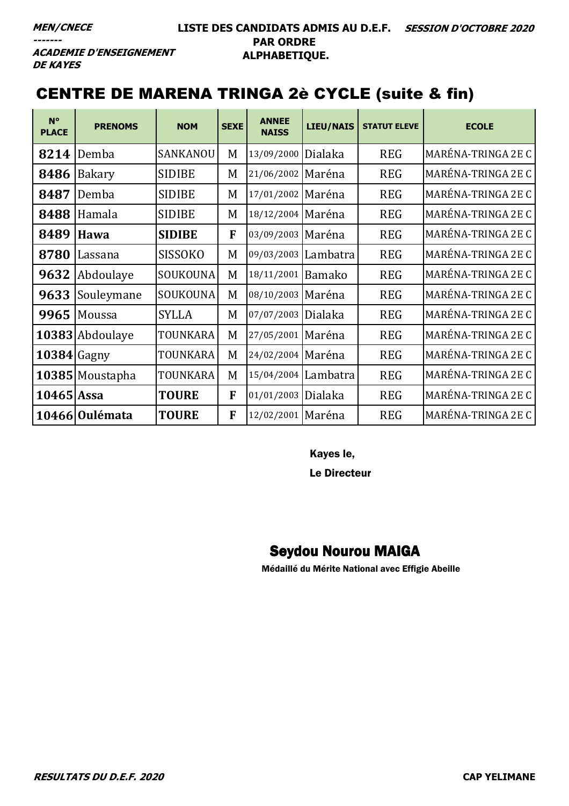#### **LISTE DES CANDIDATS ADMIS AU D.E.F. SESSION D'OCTOBRE 2020 PAR ORDRE ALPHABETIQUE.**

**ACADEMIE D'ENSEIGNEMENT DE KAYES** 

### CENTRE DE MARENA TRINGA 2è CYCLE (suite & fin)

| N°<br><b>PLACE</b> | <b>PRENOMS</b>  | <b>NOM</b>      | <b>SEXE</b> | <b>ANNEE</b><br><b>NAISS</b> | <b>LIEU/NAIS</b> | <b>STATUT ELEVE</b> | <b>ECOLE</b>       |
|--------------------|-----------------|-----------------|-------------|------------------------------|------------------|---------------------|--------------------|
| 8214               | Demba           | SANKANOU        | M           | 13/09/2000                   | Dialaka          | <b>REG</b>          | MARÉNA-TRINGA 2E C |
| 8486               | Bakary          | <b>SIDIBE</b>   | M           | 21/06/2002 Maréna            |                  | <b>REG</b>          | MARÉNA-TRINGA 2E C |
| 8487               | Demba           | <b>SIDIBE</b>   | M           | 17/01/2002 Maréna            |                  | <b>REG</b>          | MARÉNA-TRINGA 2E C |
| 8488               | Hamala          | <b>SIDIBE</b>   | M           | 18/12/2004 Maréna            |                  | <b>REG</b>          | MARÉNA-TRINGA 2E C |
| 8489               | Hawa            | <b>SIDIBE</b>   | F           | 03/09/2003 Maréna            |                  | <b>REG</b>          | MARÉNA-TRINGA 2E C |
| 8780               | Lassana         | <b>SISSOKO</b>  | M           | 09/03/2003 Lambatra          |                  | <b>REG</b>          | MARÉNA-TRINGA 2E C |
| 9632               | Abdoulaye       | SOUKOUNA        | M           | 18/11/2001 Bamako            |                  | <b>REG</b>          | MARÉNA-TRINGA 2E C |
| 9633               | Souleymane      | <b>SOUKOUNA</b> | M           | 08/10/2003 Maréna            |                  | <b>REG</b>          | MARÉNA-TRINGA 2E C |
| 9965               | Moussa          | <b>SYLLA</b>    | M           | 07/07/2003 Dialaka           |                  | <b>REG</b>          | MARÉNA-TRINGA 2E C |
|                    | 10383 Abdoulaye | TOUNKARA        | M           | 27/05/2001   Maréna          |                  | <b>REG</b>          | MARÉNA-TRINGA 2E C |
| 10384 Gagny        |                 | TOUNKARA        | M           | 24/02/2004 Maréna            |                  | <b>REG</b>          | MARÉNA-TRINGA 2E C |
|                    | 10385 Moustapha | TOUNKARA        | M           | 15/04/2004 Lambatra          |                  | <b>REG</b>          | MARÉNA-TRINGA 2E C |
| $10465$ Assa       |                 | <b>TOURE</b>    | F           | 01/01/2003                   | Dialaka          | <b>REG</b>          | MARÉNA-TRINGA 2E C |
|                    | 10466 Oulémata  | <b>TOURE</b>    | F           | 12/02/2001 Maréna            |                  | <b>REG</b>          | MARÉNA-TRINGA 2E C |

Kayes le,

Le Directeur

#### Seydou Nourou MAIGA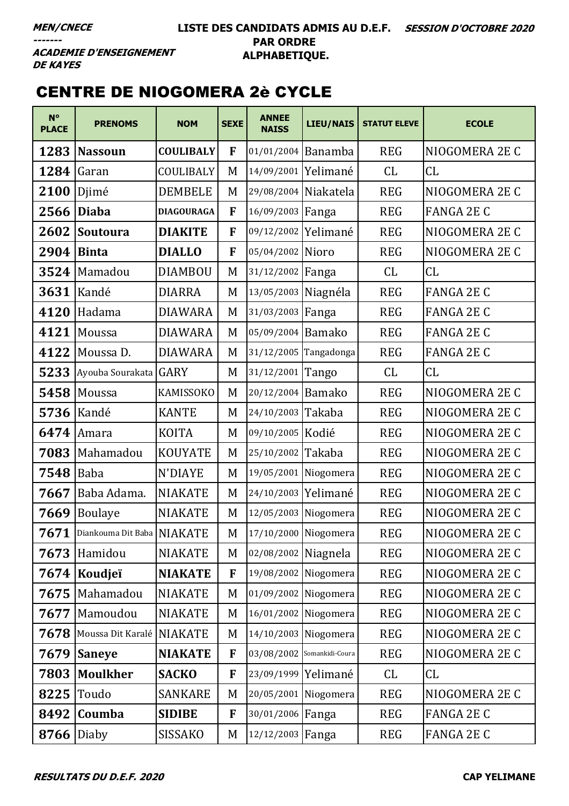**ACADEMIE D'ENSEIGNEMENT DE KAYES** 

## CENTRE DE NIOGOMERA 2è CYCLE

| $N^{\circ}$<br><b>PLACE</b> | <b>PRENOMS</b>             | <b>NOM</b>        | <b>SEXE</b> | <b>ANNEE</b><br><b>NAISS</b> | <b>LIEU/NAIS</b> | <b>STATUT ELEVE</b> | <b>ECOLE</b>      |
|-----------------------------|----------------------------|-------------------|-------------|------------------------------|------------------|---------------------|-------------------|
| 1283                        | <b>Nassoun</b>             | <b>COULIBALY</b>  | F           | 01/01/2004 Banamba           |                  | <b>REG</b>          | NIOGOMERA 2E C    |
| 1284                        | Garan                      | COULIBALY         | M           | 14/09/2001                   | Yelimané         | CL                  | CL                |
| 2100                        | Djimé                      | <b>DEMBELE</b>    | M           | 29/08/2004                   | Niakatela        | <b>REG</b>          | NIOGOMERA 2E C    |
| 2566                        | <b>Diaba</b>               | <b>DIAGOURAGA</b> | F           | 16/09/2003                   | Fanga            | <b>REG</b>          | <b>FANGA 2E C</b> |
| 2602                        | <b>Soutoura</b>            | <b>DIAKITE</b>    | F           | 09/12/2002                   | Yelimané         | <b>REG</b>          | NIOGOMERA 2E C    |
| 2904                        | <b>Binta</b>               | <b>DIALLO</b>     | F           | 05/04/2002                   | Nioro            | <b>REG</b>          | NIOGOMERA 2E C    |
| 3524                        | Mamadou                    | <b>DIAMBOU</b>    | M           | 31/12/2002                   | Fanga            | CL                  | CL                |
| 3631                        | Kandé                      | <b>DIARRA</b>     | M           | 13/05/2003                   | Niagnéla         | <b>REG</b>          | <b>FANGA 2E C</b> |
| 4120                        | Hadama                     | <b>DIAWARA</b>    | M           | 31/03/2003                   | Fanga            | <b>REG</b>          | <b>FANGA 2E C</b> |
| 4121                        | Moussa                     | <b>DIAWARA</b>    | M           | 05/09/2004                   | <b>Bamako</b>    | <b>REG</b>          | <b>FANGA 2E C</b> |
| 4122                        | Moussa D.                  | <b>DIAWARA</b>    | M           | 31/12/2005                   | Tangadonga       | <b>REG</b>          | <b>FANGA 2E C</b> |
| 5233                        | Ayouba Sourakata           | <b>GARY</b>       | M           | 31/12/2001                   | Tango            | CL                  | CL                |
| 5458                        | Moussa                     | <b>KAMISSOKO</b>  | M           | 20/12/2004                   | <b>Bamako</b>    | <b>REG</b>          | NIOGOMERA 2E C    |
| 5736                        | Kandé                      | <b>KANTE</b>      | M           | 24/10/2003                   | Takaba           | <b>REG</b>          | NIOGOMERA 2E C    |
| 6474                        | Amara                      | <b>KOITA</b>      | M           | 09/10/2005 Kodié             |                  | <b>REG</b>          | NIOGOMERA 2E C    |
| 7083                        | Mahamadou                  | <b>KOUYATE</b>    | M           | 25/10/2002                   | Takaba           | <b>REG</b>          | NIOGOMERA 2E C    |
| 7548                        | Baba                       | N'DIAYE           | M           | 19/05/2001 Niogomera         |                  | <b>REG</b>          | NIOGOMERA 2E C    |
| 7667                        | Baba Adama.                | <b>NIAKATE</b>    | M           | 24/10/2003                   | Yelimané         | <b>REG</b>          | NIOGOMERA 2E C    |
| 7669                        | <b>Boulaye</b>             | <b>NIAKATE</b>    | M           | 12/05/2003 Niogomera         |                  | <b>REG</b>          | NIOGOMERA 2E C    |
| 7671                        | Diankouma Dit Baba NIAKATE |                   | M           | 17/10/2000 Niogomera         |                  | <b>REG</b>          | NIOGOMERA 2E C    |
| 7673                        | Hamidou                    | <b>NIAKATE</b>    | M           | 02/08/2002 Niagnela          |                  | <b>REG</b>          | NIOGOMERA 2E C    |
| 7674                        | Koudjeï                    | <b>NIAKATE</b>    | F           | 19/08/2002 Niogomera         |                  | <b>REG</b>          | NIOGOMERA 2E C    |
| 7675                        | Mahamadou                  | <b>NIAKATE</b>    | M           | 01/09/2002 Niogomera         |                  | <b>REG</b>          | NIOGOMERA 2E C    |
| 7677                        | Mamoudou                   | <b>NIAKATE</b>    | M           | 16/01/2002 Niogomera         |                  | <b>REG</b>          | NIOGOMERA 2E C    |
| 7678                        | Moussa Dit Karalé          | <b>NIAKATE</b>    | M           | 14/10/2003 Niogomera         |                  | <b>REG</b>          | NIOGOMERA 2E C    |
| 7679                        | <b>Saneye</b>              | <b>NIAKATE</b>    | F           | 03/08/2002 Somankidi-Coura   |                  | <b>REG</b>          | NIOGOMERA 2E C    |
| 7803                        | <b>Moulkher</b>            | <b>SACKO</b>      | F           | 23/09/1999 Yelimané          |                  | CL                  | CL                |
| 8225                        | Toudo                      | <b>SANKARE</b>    | M           | 20/05/2001 Niogomera         |                  | <b>REG</b>          | NIOGOMERA 2E C    |
| 8492                        | Coumba                     | <b>SIDIBE</b>     | F           | 30/01/2006 Fanga             |                  | <b>REG</b>          | <b>FANGA 2E C</b> |
| 8766                        | Diaby                      | <b>SISSAKO</b>    | M           | 12/12/2003 Fanga             |                  | <b>REG</b>          | <b>FANGA 2E C</b> |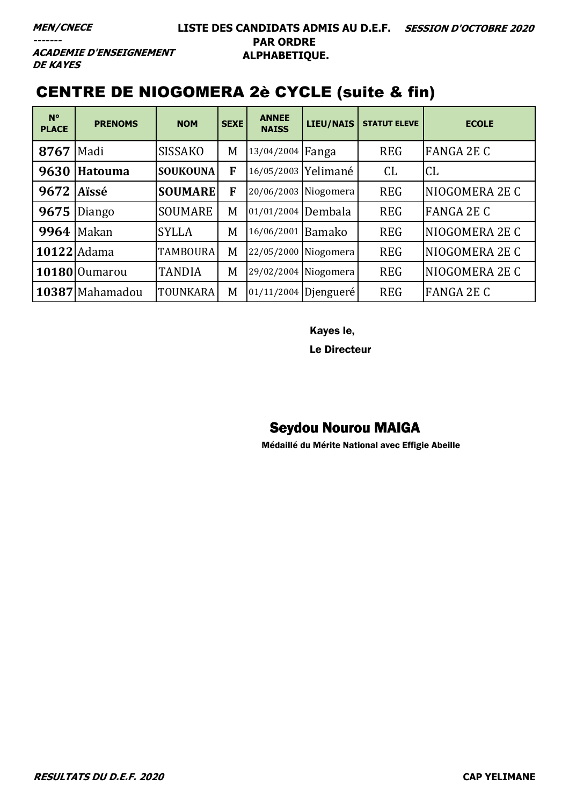**ACADEMIE D'ENSEIGNEMENT DE KAYES** 

## CENTRE DE NIOGOMERA 2è CYCLE (suite & fin)

| $N^{\circ}$<br><b>PLACE</b> | <b>PRENOMS</b>  | <b>NOM</b>      | <b>SEXE</b> | <b>ANNEE</b><br><b>NAISS</b> | <b>LIEU/NAIS</b>     | <b>STATUT ELEVE</b> | <b>ECOLE</b>      |
|-----------------------------|-----------------|-----------------|-------------|------------------------------|----------------------|---------------------|-------------------|
| 8767                        | Madi            | <b>SISSAKO</b>  | M           | 13/04/2004 Fanga             |                      | <b>REG</b>          | <b>FANGA 2E C</b> |
| 9630                        | <b>Hatouma</b>  | <b>SOUKOUNA</b> | F           | 16/05/2003 Yelimané          |                      | CL                  | CL                |
| 9672                        | Aïssé           | <b>SOUMARE</b>  | F           | 20/06/2003 Niogomera         |                      | <b>REG</b>          | NIOGOMERA 2E C    |
| 9675                        | Diango          | <b>SOUMARE</b>  | M           | 01/01/2004 Dembala           |                      | <b>REG</b>          | <b>FANGA 2E C</b> |
| 9964                        | Makan           | <b>SYLLA</b>    | M           | 16/06/2001 Bamako            |                      | <b>REG</b>          | NIOGOMERA 2E C    |
| 10122 Adama                 |                 | <b>TAMBOURA</b> | M           | 22/05/2000 Niogomera         |                      | <b>REG</b>          | NIOGOMERA 2E C    |
|                             | 10180 Oumarou   | <b>TANDIA</b>   | M           | 29/02/2004 Niogomera         |                      | <b>REG</b>          | NIOGOMERA 2E C    |
|                             | 10387 Mahamadou | TOUNKARA        | M           |                              | 01/11/2004 Djengueré | <b>REG</b>          | <b>FANGA 2E C</b> |

Kayes le,

Le Directeur

## Seydou Nourou MAIGA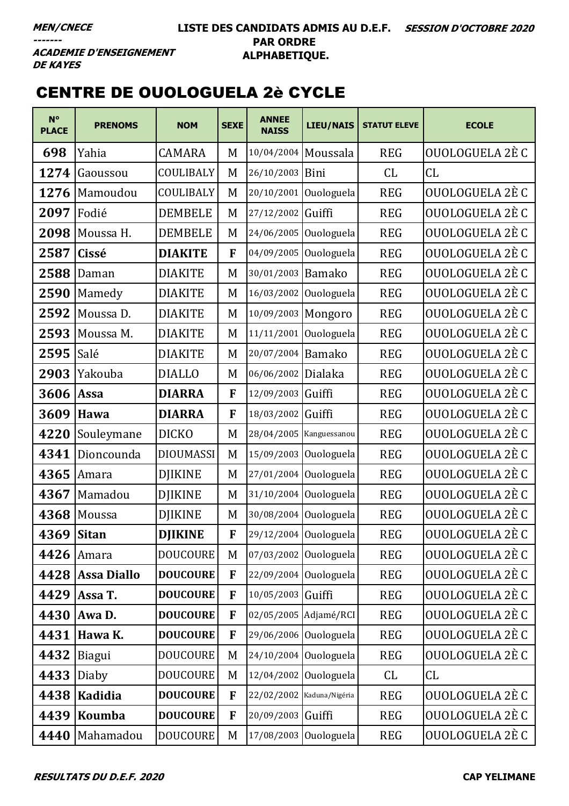## **CENTRE DE OUOLOGUELA 2è CYCLE**

| $N^{\circ}$<br><b>PLACE</b> | <b>PRENOMS</b>     | <b>NOM</b>       | <b>SEXE</b>  | <b>ANNEE</b><br><b>NAISS</b> | <b>LIEU/NAIS</b>          | <b>STATUT ELEVE</b> | <b>ECOLE</b>    |
|-----------------------------|--------------------|------------------|--------------|------------------------------|---------------------------|---------------------|-----------------|
| 698                         | Yahia              | <b>CAMARA</b>    | M            | 10/04/2004 Moussala          |                           | <b>REG</b>          | OUOLOGUELA 2È C |
| 1274                        | Gaoussou           | COULIBALY        | M            | 26/10/2003                   | Bini                      | CL.                 | CL              |
| 1276                        | Mamoudou           | COULIBALY        | M            | 20/10/2001                   | Ouologuela                | <b>REG</b>          | OUOLOGUELA 2È C |
| 2097                        | Fodié              | <b>DEMBELE</b>   | M            | 27/12/2002                   | Guiffi                    | <b>REG</b>          | OUOLOGUELA 2È C |
| 2098                        | Moussa H.          | <b>DEMBELE</b>   | M            |                              | 24/06/2005 Ouologuela     | <b>REG</b>          | OUOLOGUELA 2È C |
| 2587                        | Cissé              | <b>DIAKITE</b>   | F            |                              | 04/09/2005 Ouologuela     | <b>REG</b>          | OUOLOGUELA 2È C |
| 2588                        | Daman              | <b>DIAKITE</b>   | M            | 30/01/2003 Bamako            |                           | <b>REG</b>          | OUOLOGUELA 2È C |
| 2590                        | Mamedy             | <b>DIAKITE</b>   | M            | 16/03/2002                   | Ouologuela                | <b>REG</b>          | OUOLOGUELA 2È C |
| 2592                        | Moussa D.          | <b>DIAKITE</b>   | M            | 10/09/2003 Mongoro           |                           | <b>REG</b>          | OUOLOGUELA 2È C |
| 2593                        | Moussa M.          | <b>DIAKITE</b>   | M            |                              | 11/11/2001 Ouologuela     | <b>REG</b>          | OUOLOGUELA 2È C |
| 2595                        | Salé               | <b>DIAKITE</b>   | M            | 20/07/2004 Bamako            |                           | <b>REG</b>          | OUOLOGUELA 2È C |
| 2903                        | Yakouba            | <b>DIALLO</b>    | M            | 06/06/2002                   | Dialaka                   | <b>REG</b>          | OUOLOGUELA 2È C |
| 3606                        | Assa               | <b>DIARRA</b>    | $\mathbf{F}$ | 12/09/2003 Guiffi            |                           | <b>REG</b>          | OUOLOGUELA 2È C |
| 3609                        | Hawa               | <b>DIARRA</b>    | F            | 18/03/2002                   | Guiffi                    | <b>REG</b>          | OUOLOGUELA 2È C |
| 4220                        | Souleymane         | <b>DICKO</b>     | M            |                              | 28/04/2005 Kanguessanou   | <b>REG</b>          | OUOLOGUELA 2È C |
| 4341                        | Dioncounda         | <b>DIOUMASSI</b> | M            |                              | 15/09/2003 Ouologuela     | <b>REG</b>          | OUOLOGUELA 2È C |
| 4365                        | Amara              | <b>DJIKINE</b>   | M            |                              | 27/01/2004 Ouologuela     | <b>REG</b>          | OUOLOGUELA 2È C |
| 4367                        | Mamadou            | <b>DJIKINE</b>   | M            |                              | 31/10/2004 Ouologuela     | <b>REG</b>          | OUOLOGUELA 2È C |
| 4368                        | Moussa             | <b>DJIKINE</b>   | M            |                              | 30/08/2004 Ouologuela     | <b>REG</b>          | OUOLOGUELA 2È C |
| 4369                        | <b>Sitan</b>       | <b>DJIKINE</b>   | F            |                              | 29/12/2004 Ouologuela     | <b>REG</b>          | OUOLOGUELA 2È C |
| 4426                        | Amara              | <b>DOUCOURE</b>  | M            |                              | 07/03/2002 Ouologuela     | <b>REG</b>          | OUOLOGUELA 2È C |
| 4428                        | <b>Assa Diallo</b> | <b>DOUCOURE</b>  | F            |                              | $22/09/2004$ Ouologuela   | <b>REG</b>          | OUOLOGUELA 2È C |
| 4429                        | Assa T.            | <b>DOUCOURE</b>  | F            | 10/05/2003 Guiffi            |                           | <b>REG</b>          | OUOLOGUELA 2È C |
| 4430                        | Awa D.             | <b>DOUCOURE</b>  | F            |                              | 02/05/2005 Adjamé/RCI     | <b>REG</b>          | OUOLOGUELA 2È C |
| 4431                        | Hawa K.            | <b>DOUCOURE</b>  | F            |                              | 29/06/2006 Ouologuela     | <b>REG</b>          | OUOLOGUELA 2È C |
| 4432                        | <b>Biagui</b>      | <b>DOUCOURE</b>  | M            |                              | 24/10/2004 Ouologuela     | <b>REG</b>          | OUOLOGUELA 2È C |
| 4433                        | Diaby              | <b>DOUCOURE</b>  | M            |                              | 12/04/2002 Ouologuela     | CL                  | CL              |
| 4438                        | Kadidia            | <b>DOUCOURE</b>  | F            |                              | 22/02/2002 Kaduna/Nigéria | <b>REG</b>          | OUOLOGUELA 2È C |
| 4439                        | Koumba             | <b>DOUCOURE</b>  | F            | 20/09/2003 Guiffi            |                           | <b>REG</b>          | OUOLOGUELA 2È C |
| 4440                        | Mahamadou          | <b>DOUCOURE</b>  | M            |                              | 17/08/2003 Ouologuela     | <b>REG</b>          | OUOLOGUELA 2È C |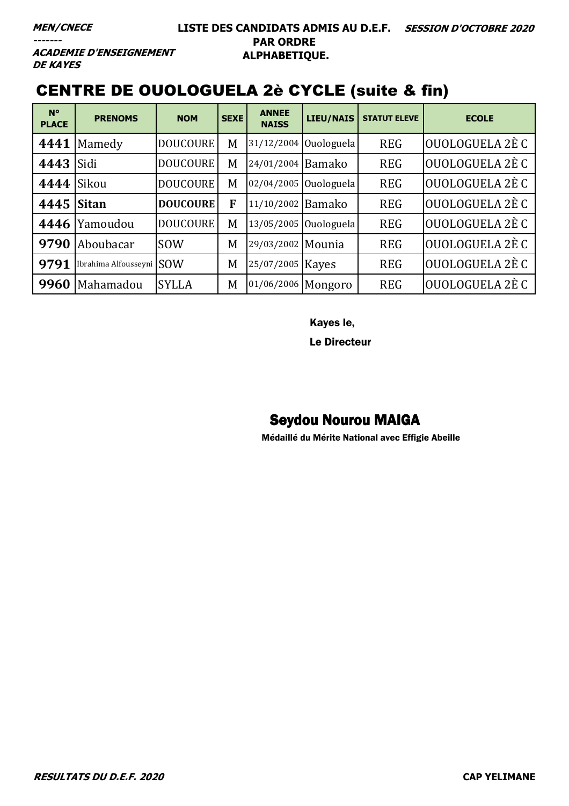#### **LISTE DES CANDIDATS ADMIS AU D.E.F. SESSION D'OCTOBRE 2020 PAR ORDRE ALPHABETIQUE.**

**ACADEMIE D'ENSEIGNEMENT DE KAYES** 

## CENTRE DE OUOLOGUELA 2è CYCLE (suite & fin)

| $N^{\circ}$<br><b>PLACE</b> | <b>PRENOMS</b>       | <b>NOM</b>      | <b>SEXE</b> | <b>ANNEE</b><br><b>NAISS</b> | <b>LIEU/NAIS</b>        | <b>STATUT ELEVE</b> | <b>ECOLE</b>    |
|-----------------------------|----------------------|-----------------|-------------|------------------------------|-------------------------|---------------------|-----------------|
| 4441                        | Mamedy               | <b>DOUCOURE</b> | M           |                              | $31/12/2004$ Ouologuela | <b>REG</b>          | OUOLOGUELA 2È C |
| 4443                        | Sidi                 | <b>DOUCOURE</b> | M           | 24/01/2004                   | Bamako                  | <b>REG</b>          | OUOLOGUELA 2È C |
| 4444                        | Sikou                | <b>DOUCOURE</b> | M           |                              | 02/04/2005 Ouologuela   | <b>REG</b>          | OUOLOGUELA 2È C |
| 4445 Sitan                  |                      | <b>DOUCOURE</b> | F           | 11/10/2002 Bamako            |                         | <b>REG</b>          | OUOLOGUELA 2È C |
| 4446                        | Yamoudou             | <b>DOUCOURE</b> | M           |                              | 13/05/2005 Ouologuela   | <b>REG</b>          | OUOLOGUELA 2È C |
| 9790                        | Aboubacar            | <b>SOW</b>      | M           | 29/03/2002 Mounia            |                         | <b>REG</b>          | OUOLOGUELA 2È C |
| 9791                        | Ibrahima Alfousseyni | <b>SOW</b>      | M           | 25/07/2005                   | <b>Kayes</b>            | <b>REG</b>          | OUOLOGUELA 2È C |
| 9960                        | Mahamadou            | <b>SYLLA</b>    | M           | 01/06/2006 Mongoro           |                         | <b>REG</b>          | OUOLOGUELA 2È C |

Kayes le,

Le Directeur

### Seydou Nourou MAIGA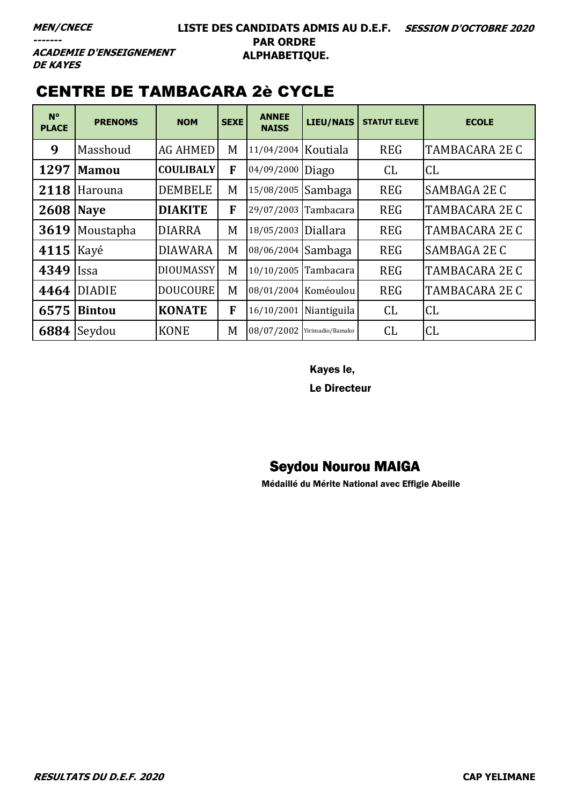**ACADEMIE D'ENSEIGNEMENT DE KAYES** 

## **CENTRE DE TAMBACARA 2è CYCLE**

| $N^{\circ}$<br><b>PLACE</b> | <b>PRENOMS</b> | <b>NOM</b>       | <b>SEXE</b> | <b>ANNEE</b><br><b>NAISS</b> | <b>LIEU/NAIS</b>       | <b>STATUT ELEVE</b> | <b>ECOLE</b>          |
|-----------------------------|----------------|------------------|-------------|------------------------------|------------------------|---------------------|-----------------------|
| 9                           | Masshoud       | <b>AG AHMED</b>  | M           | 11/04/2004 Koutiala          |                        | <b>REG</b>          | <b>TAMBACARA 2E C</b> |
| 1297                        | <b>Mamou</b>   | <b>COULIBALY</b> | F           | 04/09/2000                   | Diago                  | CL                  | CL                    |
| 2118                        | Harouna        | <b>DEMBELE</b>   | M           | 15/08/2005 Sambaga           |                        | <b>REG</b>          | <b>SAMBAGA 2E C</b>   |
| <b>2608 Naye</b>            |                | <b>DIAKITE</b>   | F           | 29/07/2003 Tambacara         |                        | <b>REG</b>          | TAMBACARA 2E C        |
| 3619                        | Moustapha      | <b>DIARRA</b>    | M           | 18/05/2003 Diallara          |                        | <b>REG</b>          | <b>TAMBACARA 2E C</b> |
| 4115                        | Kayé           | <b>DIAWARA</b>   | M           | 08/06/2004 Sambaga           |                        | <b>REG</b>          | SAMBAGA 2E C          |
| 4349                        | <b>Issa</b>    | <b>DIOUMASSY</b> | M           | 10/10/2005 Tambacara         |                        | <b>REG</b>          | <b>TAMBACARA 2E C</b> |
| 4464                        | <b>DIADIE</b>  | <b>DOUCOURE</b>  | M           |                              | 08/01/2004 Koméoulou   | <b>REG</b>          | <b>TAMBACARA 2E C</b> |
| 6575                        | <b>Bintou</b>  | <b>KONATE</b>    | F           |                              | 16/10/2001 Niantiguila | <b>CL</b>           | <b>CL</b>             |
| 6884                        | Seydou         | <b>KONE</b>      | M           | 08/07/2002 Yirimadio/Bamako  |                        | CL                  | CL                    |

Kayes le,

Le Directeur

#### **Seydou Nourou MAIGA**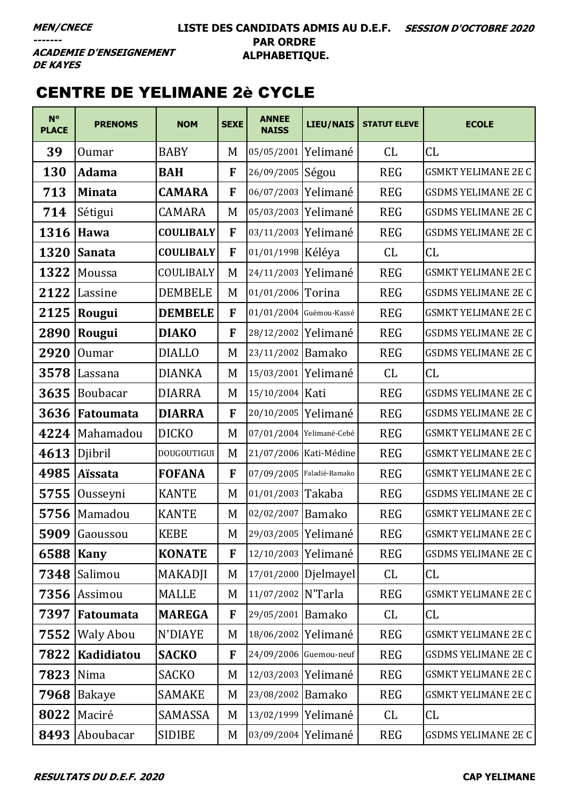#### **LISTE DES CANDIDATS ADMIS AU D.E.F. SESSION D'OCTOBRE 2020 PAR ORDRE ALPHABETIQUE.**

**ACADEMIE D'ENSEIGNEMENT DE KAYES** 

# CENTRE DE YELIMANE 2è CYCLE

| $N^{\circ}$<br><b>PLACE</b> | <b>PRENOMS</b>   | <b>NOM</b>       | <b>SEXE</b>  | <b>ANNEE</b><br><b>NAISS</b> | <b>LIEU/NAIS</b>          | <b>STATUT ELEVE</b> | <b>ECOLE</b>               |
|-----------------------------|------------------|------------------|--------------|------------------------------|---------------------------|---------------------|----------------------------|
| 39                          | Oumar            | <b>BABY</b>      | M            | 05/05/2001 Yelimané          |                           | CL                  | CL                         |
| 130                         | <b>Adama</b>     | <b>BAH</b>       | F            | 26/09/2005 Ségou             |                           | <b>REG</b>          | <b>GSMKT YELIMANE 2E C</b> |
| 713                         | <b>Minata</b>    | <b>CAMARA</b>    | F            | 06/07/2003                   | Yelimané                  | <b>REG</b>          | <b>GSDMS YELIMANE 2E C</b> |
| 714                         | Sétigui          | CAMARA           | M            | 05/03/2003                   | Yelimané                  | <b>REG</b>          | <b>GSDMS YELIMANE 2E C</b> |
| 1316                        | Hawa             | <b>COULIBALY</b> | F            | 03/11/2003 Yelimané          |                           | <b>REG</b>          | <b>GSDMS YELIMANE 2E C</b> |
| 1320                        | <b>Sanata</b>    | <b>COULIBALY</b> | F            | 01/01/1998 Kéléya            |                           | CL                  | CL                         |
| 1322                        | Moussa           | COULIBALY        | M            | 24/11/2003                   | Yelimané                  | <b>REG</b>          | <b>GSMKT YELIMANE 2E C</b> |
| 2122                        | Lassine          | <b>DEMBELE</b>   | M            | 01/01/2006                   | Torina                    | <b>REG</b>          | <b>GSDMS YELIMANE 2E C</b> |
| 2125                        | Rougui           | <b>DEMBELE</b>   | F            |                              | 01/01/2004 Guémou-Kassé   | <b>REG</b>          | <b>GSMKT YELIMANE 2E C</b> |
| 2890                        | Rougui           | <b>DIAKO</b>     | F            | 28/12/2002 Yelimané          |                           | <b>REG</b>          | <b>GSDMS YELIMANE 2E C</b> |
| 2920                        | <b>Oumar</b>     | <b>DIALLO</b>    | M            | 23/11/2002 Bamako            |                           | <b>REG</b>          | <b>GSDMS YELIMANE 2E C</b> |
| 3578                        | Lassana          | <b>DIANKA</b>    | M            | 15/03/2001                   | Yelimané                  | CL                  | CL                         |
| 3635                        | <b>Boubacar</b>  | <b>DIARRA</b>    | M            | 15/10/2004 Kati              |                           | <b>REG</b>          | <b>GSDMS YELIMANE 2E C</b> |
| 3636                        | Fatoumata        | <b>DIARRA</b>    | F            | 20/10/2005 Yelimané          |                           | <b>REG</b>          | <b>GSDMS YELIMANE 2E C</b> |
| 4224                        | Mahamadou        | <b>DICKO</b>     | M            |                              | 07/01/2004 Yelimané-Cebé  | <b>REG</b>          | <b>GSMKT YELIMANE 2E C</b> |
| 4613                        | Djibril          | DOUGOUTIGUI      | M            |                              | 21/07/2006 Kati-Médine    | <b>REG</b>          | <b>GSMKT YELIMANE 2E C</b> |
| 4985                        | <b>Aïssata</b>   | <b>FOFANA</b>    | $\mathbf{F}$ |                              | 07/09/2005 Faladié-Bamako | <b>REG</b>          | <b>GSMKT YELIMANE 2E C</b> |
| 5755                        | Ousseyni         | <b>KANTE</b>     | M            | 01/01/2003 Takaba            |                           | <b>REG</b>          | <b>GSDMS YELIMANE 2E C</b> |
| 5756                        | Mamadou          | <b>KANTE</b>     | M            | 02/02/2007 Bamako            |                           | <b>REG</b>          | <b>GSMKT YELIMANE 2E C</b> |
|                             | 5909 Gaoussou    | <b>KEBE</b>      | M            |                              | 29/03/2005 Yelimané       | <b>REG</b>          | <b>GSMKT YELIMANE 2E C</b> |
| 6588                        | <b>Kany</b>      | <b>KONATE</b>    | F            | 12/10/2003 Yelimané          |                           | <b>REG</b>          | <b>GSDMS YELIMANE 2E C</b> |
| 7348                        | Salimou          | <b>MAKADJI</b>   | M            |                              | 17/01/2000 Djelmayel      | CL                  | CL                         |
| 7356                        | Assimou          | <b>MALLE</b>     | M            | 11/07/2002 N'Tarla           |                           | <b>REG</b>          | <b>GSMKT YELIMANE 2E C</b> |
| 7397                        | Fatoumata        | <b>MAREGA</b>    | F            | 29/05/2001 Bamako            |                           | CL                  | CL                         |
| 7552                        | <b>Waly Abou</b> | N'DIAYE          | M            | 18/06/2002 Yelimané          |                           | <b>REG</b>          | <b>GSMKT YELIMANE 2E C</b> |
| 7822                        | Kadidiatou       | <b>SACKO</b>     | F            |                              | 24/09/2006 Guemou-neuf    | <b>REG</b>          | <b>GSDMS YELIMANE 2E C</b> |
| 7823                        | Nima             | SACKO            | M            | 12/03/2003 Yelimané          |                           | <b>REG</b>          | <b>GSMKT YELIMANE 2E C</b> |
| 7968                        | Bakaye           | <b>SAMAKE</b>    | M            | 23/08/2002 Bamako            |                           | <b>REG</b>          | <b>GSMKT YELIMANE 2E C</b> |
| 8022                        | Maciré           | SAMASSA          | M            |                              | 13/02/1999 Yelimané       | CL                  | CL                         |
| 8493                        | Aboubacar        | <b>SIDIBE</b>    | M            | 03/09/2004 Yelimané          |                           | <b>REG</b>          | <b>GSDMS YELIMANE 2E C</b> |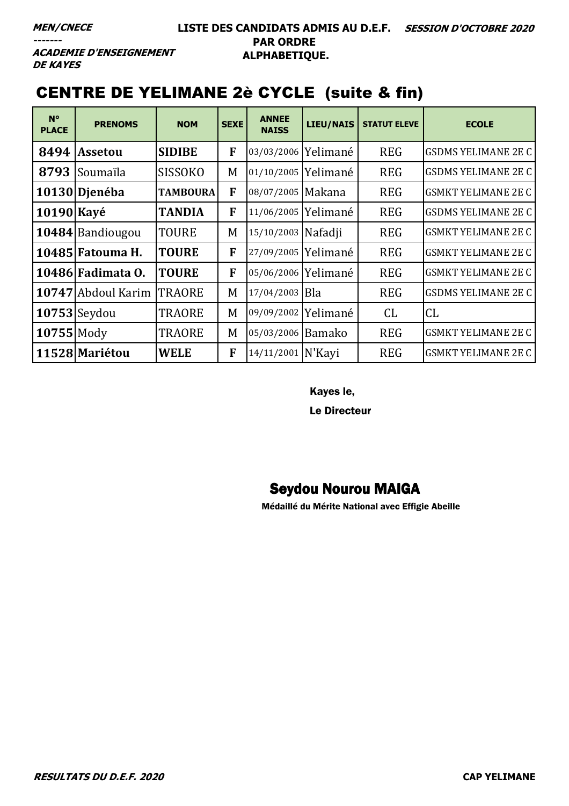#### **LISTE DES CANDIDATS ADMIS AU D.E.F. SESSION D'OCTOBRE 2020 PAR ORDRE ALPHABETIQUE.**

**ACADEMIE D'ENSEIGNEMENT DE KAYES** 

## CENTRE DE YELIMANE 2è CYCLE (suite & fin)

| $N^{\circ}$<br><b>PLACE</b> | <b>PRENOMS</b>     | <b>NOM</b>      | <b>SEXE</b> | <b>ANNEE</b><br><b>NAISS</b> | <b>LIEU/NAIS</b> | <b>STATUT ELEVE</b> | <b>ECOLE</b>               |
|-----------------------------|--------------------|-----------------|-------------|------------------------------|------------------|---------------------|----------------------------|
| 8494                        | <b>Assetou</b>     | <b>SIDIBE</b>   | F           | 03/03/2006                   | Yelimané         | <b>REG</b>          | <b>GSDMS YELIMANE 2E C</b> |
| 8793                        | Soumaïla           | <b>SISSOKO</b>  | M           | 01/10/2005                   | Yelimané         | <b>REG</b>          | <b>GSDMS YELIMANE 2E C</b> |
|                             | 10130 Dienéba      | <b>TAMBOURA</b> | F           | 08/07/2005 Makana            |                  | <b>REG</b>          | <b>GSMKT YELIMANE 2E C</b> |
| 10190 Kayé                  |                    | <b>TANDIA</b>   | F           | 11/06/2005                   | Yelimané         | <b>REG</b>          | <b>GSDMS YELIMANE 2E C</b> |
|                             | 10484 Bandiougou   | <b>TOURE</b>    | M           | 15/10/2003 Nafadji           |                  | <b>REG</b>          | <b>GSMKT YELIMANE 2E C</b> |
|                             | 10485 Fatouma H.   | <b>TOURE</b>    | F           | 27/09/2005                   | Yelimané         | <b>REG</b>          | <b>GSMKT YELIMANE 2E C</b> |
|                             | 10486 Fadimata 0.  | <b>TOURE</b>    | F           | 05/06/2006 Yelimané          |                  | <b>REG</b>          | <b>GSMKT YELIMANE 2E C</b> |
|                             | 10747 Abdoul Karim | <b>TRAORE</b>   | M           | 17/04/2003 Bla               |                  | <b>REG</b>          | <b>GSDMS YELIMANE 2E C</b> |
|                             | $10753$ Seydou     | <b>TRAORE</b>   | M           | 09/09/2002                   | Yelimané         | CL                  | <b>CL</b>                  |
| $10755$ Mody                |                    | <b>TRAORE</b>   | M           | 05/03/2006 Bamako            |                  | <b>REG</b>          | <b>GSMKT YELIMANE 2E C</b> |
|                             | 11528 Mariétou     | WELE            | F           | 14/11/2001                   | N'Kayi           | <b>REG</b>          | <b>GSMKT YELIMANE 2E C</b> |

#### Kayes le,

Le Directeur

#### Seydou Nourou MAIGA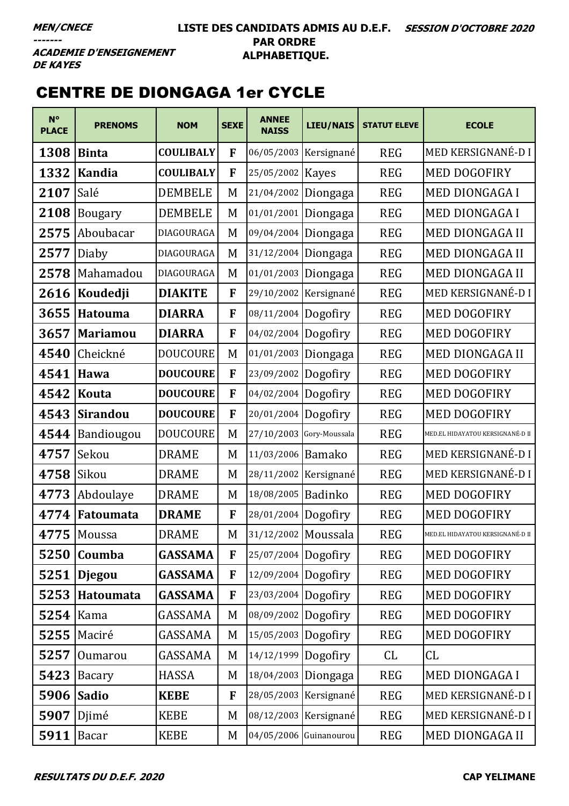#### **LISTE DES CANDIDATS ADMIS AU D.E.F. SESSION D'OCTOBRE 2020 PAR ORDRE ALPHABETIQUE.**

**ACADEMIE D'ENSEIGNEMENT DE KAYES** 

## CENTRE DE DIONGAGA 1er CYCLE

| $N^{\circ}$<br><b>PLACE</b> | <b>PRENOMS</b>  | <b>NOM</b>       | <b>SEXE</b> | <b>ANNEE</b><br><b>NAISS</b> | <b>LIEU/NAIS</b>       | <b>STATUT ELEVE</b> | <b>ECOLE</b>                     |
|-----------------------------|-----------------|------------------|-------------|------------------------------|------------------------|---------------------|----------------------------------|
| 1308                        | <b>Binta</b>    | <b>COULIBALY</b> | F           | 06/05/2003                   | Kersignané             | <b>REG</b>          | MED KERSIGNANÉ-DI                |
| 1332                        | <b>Kandia</b>   | <b>COULIBALY</b> | F           | 25/05/2002                   | <b>Kayes</b>           | <b>REG</b>          | <b>MED DOGOFIRY</b>              |
| 2107                        | Salé            | <b>DEMBELE</b>   | M           | 21/04/2002                   | Diongaga               | <b>REG</b>          | MED DIONGAGA I                   |
| 2108                        | <b>Bougary</b>  | <b>DEMBELE</b>   | M           | 01/01/2001                   | Diongaga               | <b>REG</b>          | <b>MED DIONGAGA I</b>            |
| 2575                        | Aboubacar       | DIAGOURAGA       | M           | 09/04/2004                   | Diongaga               | <b>REG</b>          | MED DIONGAGA II                  |
| 2577                        | Diaby           | DIAGOURAGA       | M           | 31/12/2004                   | Diongaga               | <b>REG</b>          | <b>MED DIONGAGA II</b>           |
| 2578                        | Mahamadou       | DIAGOURAGA       | M           | 01/01/2003                   | Diongaga               | <b>REG</b>          | MED DIONGAGA II                  |
| 2616                        | Koudedji        | <b>DIAKITE</b>   | F           | 29/10/2002                   | Kersignané             | <b>REG</b>          | MED KERSIGNANÉ-D I               |
| 3655                        | <b>Hatouma</b>  | <b>DIARRA</b>    | F           | 08/11/2004                   | Dogofiry               | <b>REG</b>          | MED DOGOFIRY                     |
| 3657                        | <b>Mariamou</b> | <b>DIARRA</b>    | F           | 04/02/2004                   | Dogofiry               | <b>REG</b>          | <b>MED DOGOFIRY</b>              |
| 4540                        | Cheickné        | <b>DOUCOURE</b>  | M           | 01/01/2003                   | Diongaga               | <b>REG</b>          | MED DIONGAGA II                  |
| 4541                        | Hawa            | <b>DOUCOURE</b>  | F           | 23/09/2002                   | Dogofiry               | <b>REG</b>          | <b>MED DOGOFIRY</b>              |
| 4542                        | Kouta           | <b>DOUCOURE</b>  | F           | 04/02/2004                   | Dogofiry               | <b>REG</b>          | MED DOGOFIRY                     |
| 4543                        | Sirandou        | <b>DOUCOURE</b>  | F           | 20/01/2004                   | Dogofiry               | <b>REG</b>          | <b>MED DOGOFIRY</b>              |
| 4544                        | Bandiougou      | <b>DOUCOURE</b>  | M           | 27/10/2003                   | Gory-Moussala          | <b>REG</b>          | MED.EL HIDAYATOU KERSIGNANÉ-D II |
| 4757                        | Sekou           | <b>DRAME</b>     | M           | 11/03/2006                   | <b>Bamako</b>          | <b>REG</b>          | MED KERSIGNANÉ-D I               |
| 4758                        | Sikou           | <b>DRAME</b>     | M           |                              | 28/11/2002 Kersignané  | <b>REG</b>          | MED KERSIGNANÉ-D I               |
| 4773                        | Abdoulaye       | <b>DRAME</b>     | M           | 18/08/2005                   | Badinko                | <b>REG</b>          | <b>MED DOGOFIRY</b>              |
| 4774                        | Fatoumata       | <b>DRAME</b>     | F           | 28/01/2004                   | Dogofiry               | <b>REG</b>          | <b>MED DOGOFIRY</b>              |
|                             | $4775$ Moussa   | <b>DRAME</b>     | M           | 31/12/2002 Moussala          |                        | <b>REG</b>          | MED.EL HIDAYATOU KERSIGNANÉ-D II |
| 5250                        | Coumba          | <b>GASSAMA</b>   | F           | 25/07/2004                   | Dogofiry               | <b>REG</b>          | <b>MED DOGOFIRY</b>              |
| 5251                        | <b>Djegou</b>   | <b>GASSAMA</b>   | F           | 12/09/2004                   | Dogofiry               | <b>REG</b>          | <b>MED DOGOFIRY</b>              |
| 5253                        | Hatoumata       | <b>GASSAMA</b>   | F           | 23/03/2004                   | Dogofiry               | <b>REG</b>          | MED DOGOFIRY                     |
| 5254                        | Kama            | GASSAMA          | M           | 08/09/2002                   | Dogofiry               | <b>REG</b>          | MED DOGOFIRY                     |
| 5255                        | Maciré          | GASSAMA          | M           | 15/05/2003                   | Dogofiry               | <b>REG</b>          | MED DOGOFIRY                     |
| 5257                        | Oumarou         | GASSAMA          | M           | 14/12/1999                   | Dogofiry               | CL                  | CL                               |
| 5423                        | Bacary          | <b>HASSA</b>     | M           | 18/04/2003                   | Diongaga               | <b>REG</b>          | MED DIONGAGA I                   |
| 5906                        | Sadio           | <b>KEBE</b>      | F           | 28/05/2003                   | Kersignané             | <b>REG</b>          | MED KERSIGNANÉ-DI                |
| 5907                        | Djimé           | <b>KEBE</b>      | M           |                              | 08/12/2003 Kersignané  | <b>REG</b>          | MED KERSIGNANÉ-DI                |
| 5911                        | <b>Bacar</b>    | <b>KEBE</b>      | M           |                              | 04/05/2006 Guinanourou | <b>REG</b>          | MED DIONGAGA II                  |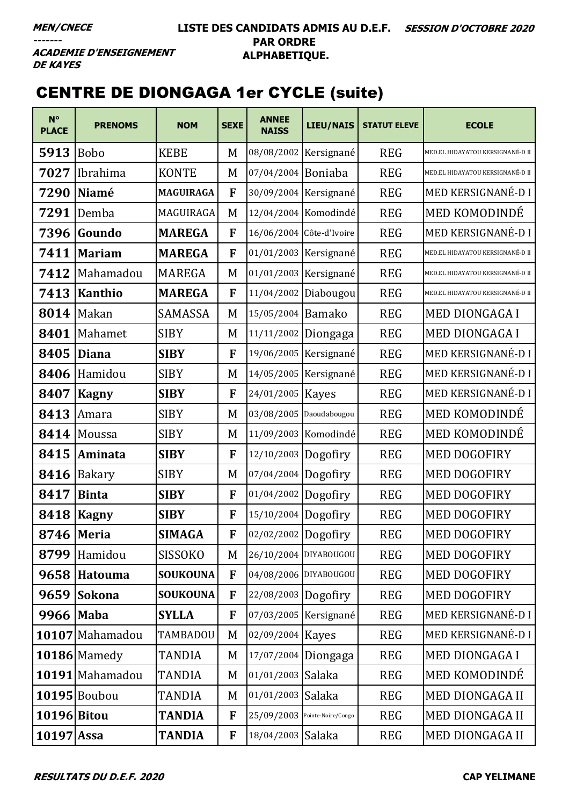#### **LISTE DES CANDIDATS ADMIS AU D.E.F. SESSION D'OCTOBRE 2020 PAR ORDRE ALPHABETIQUE.**

**ACADEMIE D'ENSEIGNEMENT DE KAYES** 

# CENTRE DE DIONGAGA 1er CYCLE (suite)

| $N^{\circ}$<br><b>PLACE</b> | <b>PRENOMS</b>  | <b>NOM</b>       | <b>SEXE</b> | <b>ANNEE</b><br><b>NAISS</b> | <b>LIEU/NAIS</b>              | <b>STATUT ELEVE</b> | <b>ECOLE</b>                     |
|-----------------------------|-----------------|------------------|-------------|------------------------------|-------------------------------|---------------------|----------------------------------|
| 5913                        | <b>Bobo</b>     | <b>KEBE</b>      | M           |                              | 08/08/2002 Kersignané         | <b>REG</b>          | MED.EL HIDAYATOU KERSIGNANÉ-D II |
| 7027                        | Ibrahima        | <b>KONTE</b>     | M           | 07/04/2004 Boniaba           |                               | <b>REG</b>          | MED.EL HIDAYATOU KERSIGNANÉ-D II |
| 7290                        | Niamé           | <b>MAGUIRAGA</b> | F           |                              | 30/09/2004 Kersignané         | <b>REG</b>          | MED KERSIGNANÉ-D I               |
| 7291                        | Demba           | MAGUIRAGA        | M           |                              | 12/04/2004 Komodindé          | <b>REG</b>          | MED KOMODINDÉ                    |
| 7396                        | Goundo          | <b>MAREGA</b>    | F           |                              | 16/06/2004 Côte-d'Ivoire      | <b>REG</b>          | MED KERSIGNANÉ-D I               |
| 7411                        | <b>Mariam</b>   | <b>MAREGA</b>    | F           |                              | 01/01/2003 Kersignané         | <b>REG</b>          | MED.EL HIDAYATOU KERSIGNANÉ-D II |
| 7412                        | Mahamadou       | <b>MAREGA</b>    | M           |                              | 01/01/2003 Kersignané         | <b>REG</b>          | MED.EL HIDAYATOU KERSIGNANÉ-D II |
| 7413                        | <b>Kanthio</b>  | <b>MAREGA</b>    | F           |                              | 11/04/2002 Diabougou          | <b>REG</b>          | MED.EL HIDAYATOU KERSIGNANÉ-D II |
| 8014                        | Makan           | <b>SAMASSA</b>   | M           | 15/05/2004 Bamako            |                               | <b>REG</b>          | <b>MED DIONGAGA I</b>            |
| 8401                        | Mahamet         | <b>SIBY</b>      | M           |                              | 11/11/2002 Diongaga           | <b>REG</b>          | <b>MED DIONGAGA I</b>            |
| 8405                        | <b>Diana</b>    | <b>SIBY</b>      | F           |                              | 19/06/2005 Kersignané         | <b>REG</b>          | MED KERSIGNANÉ-D I               |
| 8406                        | Hamidou         | <b>SIBY</b>      | M           |                              | 14/05/2005   Kersignané       | <b>REG</b>          | MED KERSIGNANÉ-DI                |
| 8407                        | <b>Kagny</b>    | <b>SIBY</b>      | F           | 24/01/2005   Kayes           |                               | <b>REG</b>          | MED KERSIGNANÉ-D I               |
| 8413                        | Amara           | <b>SIBY</b>      | M           | 03/08/2005 Daoudabougou      |                               | <b>REG</b>          | MED KOMODINDÉ                    |
| 8414                        | Moussa          | <b>SIBY</b>      | M           |                              | 11/09/2003 Komodindé          | <b>REG</b>          | MED KOMODINDÉ                    |
| 8415                        | Aminata         | <b>SIBY</b>      | F           | 12/10/2003 Dogofiry          |                               | <b>REG</b>          | <b>MED DOGOFIRY</b>              |
| 8416                        | <b>Bakary</b>   | <b>SIBY</b>      | M           | 07/04/2004 Dogofiry          |                               | <b>REG</b>          | <b>MED DOGOFIRY</b>              |
| 8417                        | <b>Binta</b>    | <b>SIBY</b>      | F           | 01/04/2002 Dogofiry          |                               | <b>REG</b>          | <b>MED DOGOFIRY</b>              |
| 8418                        | <b>Kagny</b>    | <b>SIBY</b>      | F           | 15/10/2004 Dogofiry          |                               | <b>REG</b>          | MED DOGOFIRY                     |
| 8746 Meria                  |                 | <b>SIMAGA</b>    | F           | 02/02/2002 Dogofiry          |                               | <b>REG</b>          | <b>MED DOGOFIRY</b>              |
| 8799                        | Hamidou         | <b>SISSOKO</b>   | M           | 26/10/2004 DIYABOUGOU        |                               | <b>REG</b>          | MED DOGOFIRY                     |
| 9658                        | <b>Hatouma</b>  | <b>SOUKOUNA</b>  | F           | 04/08/2006 DIYABOUGOU        |                               | <b>REG</b>          | <b>MED DOGOFIRY</b>              |
| 9659                        | <b>Sokona</b>   | <b>SOUKOUNA</b>  | F           | 22/08/2003 Dogofiry          |                               | <b>REG</b>          | MED DOGOFIRY                     |
| 9966                        | <b>Maba</b>     | <b>SYLLA</b>     | F           |                              | 07/03/2005 Kersignané         | <b>REG</b>          | MED KERSIGNANÉ-D I               |
|                             | 10107 Mahamadou | TAMBADOU         | M           | 02/09/2004 Kayes             |                               | <b>REG</b>          | MED KERSIGNANÉ-DI                |
|                             | 10186 Mamedy    | <b>TANDIA</b>    | M           |                              | 17/07/2004 Diongaga           | <b>REG</b>          | <b>MED DIONGAGA I</b>            |
|                             | 10191 Mahamadou | <b>TANDIA</b>    | M           | 01/01/2003 Salaka            |                               | <b>REG</b>          | MED KOMODINDÉ                    |
|                             | 10195 Boubou    | <b>TANDIA</b>    | M           | 01/01/2003 Salaka            |                               | <b>REG</b>          | MED DIONGAGA II                  |
| 10196 Bitou                 |                 | <b>TANDIA</b>    | F           |                              | 25/09/2003 Pointe-Noire/Congo | <b>REG</b>          | MED DIONGAGA II                  |
| $10197$ Assa                |                 | <b>TANDIA</b>    | F           | 18/04/2003 Salaka            |                               | <b>REG</b>          | MED DIONGAGA II                  |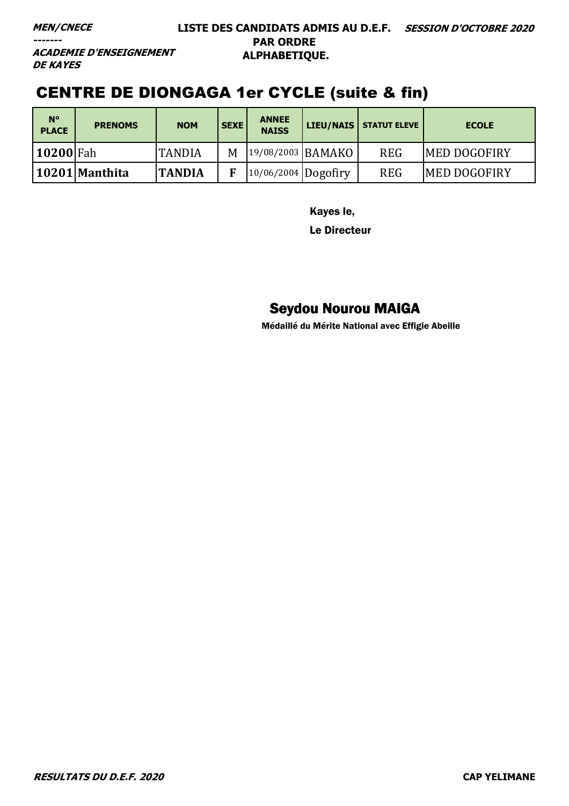#### **MEN/CNECE**

 $---$ 

#### LISTE DES CANDIDATS ADMIS AU D.E.F. SESSION D'OCTOBRE 2020 **PAR ORDRE** ALPHABETIQUE.

**ACADEMIE D'ENSEIGNEMENT DE KAYES** 

## **CENTRE DE DIONGAGA 1er CYCLE (suite & fin)**

| $N^{\circ}$<br><b>PLACE</b> | <b>PRENOMS</b> | <b>NOM</b>    | <b>SEXE</b> | <b>ANNEE</b><br><b>NAISS</b> |                   | LIEU/NAIS   STATUT ELEVE | <b>ECOLE</b>         |
|-----------------------------|----------------|---------------|-------------|------------------------------|-------------------|--------------------------|----------------------|
| <b>10200 Fah</b>            |                | <b>TANDIA</b> | M           |                              | 19/08/2003 BAMAKO | <b>REG</b>               | <b>IMED DOGOFIRY</b> |
|                             | 10201 Manthita | <b>TANDIA</b> |             | $10/06/2004$ Dogofiry        |                   | <b>REG</b>               | <b>MED DOGOFIRY</b>  |

Kayes le,

**Le Directeur** 

#### **Seydou Nourou MAIGA**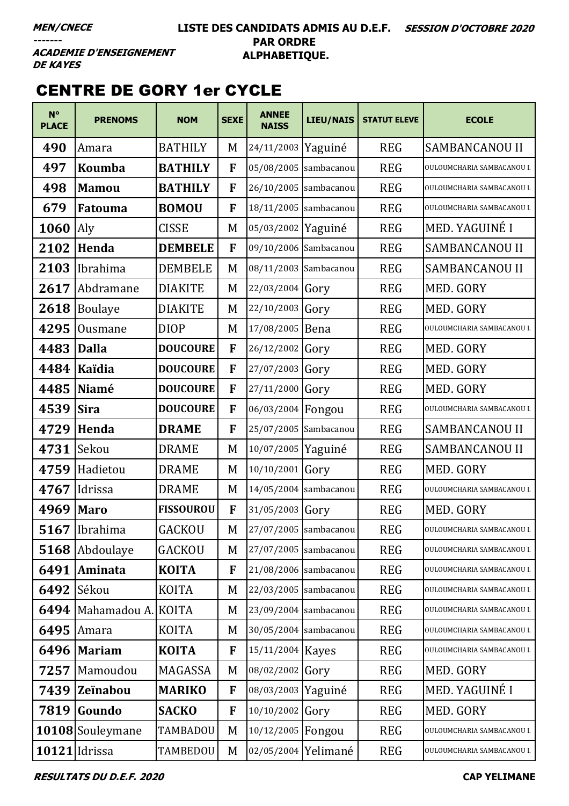#### **LISTE DES CANDIDATS ADMIS AU D.E.F. SESSION D'OCTOBRE 2020 PAR ORDRE ALPHABETIQUE.**

**ACADEMIE D'ENSEIGNEMENT DE KAYES** 

### CENTRE DE GORY 1er CYCLE

| $N^{\circ}$<br><b>PLACE</b> | <b>PRENOMS</b>     | <b>NOM</b>       | <b>SEXE</b> | <b>ANNEE</b><br><b>NAISS</b> | LIEU/NAIS               | <b>STATUT ELEVE</b> | <b>ECOLE</b>               |
|-----------------------------|--------------------|------------------|-------------|------------------------------|-------------------------|---------------------|----------------------------|
| 490                         | Amara              | <b>BATHILY</b>   | M           | 24/11/2003                   | Yaguiné                 | <b>REG</b>          | SAMBANCANOU II             |
| 497                         | Koumba             | <b>BATHILY</b>   | F           | 05/08/2005                   | sambacanou              | <b>REG</b>          | OULOUMCHARIA SAMBACANOU I. |
| 498                         | <b>Mamou</b>       | <b>BATHILY</b>   | F           | 26/10/2005                   | sambacanou              | <b>REG</b>          | OULOUMCHARIA SAMBACANOU I. |
| 679                         | Fatouma            | <b>BOMOU</b>     | F           | 18/11/2005                   | sambacanou              | <b>REG</b>          | OULOUMCHARIA SAMBACANOU I. |
| 1060                        | Aly                | <b>CISSE</b>     | M           | 05/03/2002                   | Yaguiné                 | <b>REG</b>          | MED. YAGUINÉ I             |
| 2102                        | Henda              | <b>DEMBELE</b>   | F           | 09/10/2006 Sambacanou        |                         | <b>REG</b>          | <b>SAMBANCANOU II</b>      |
| 2103                        | Ibrahima           | <b>DEMBELE</b>   | M           | 08/11/2003 Sambacanou        |                         | <b>REG</b>          | <b>SAMBANCANOU II</b>      |
| 2617                        | Abdramane          | <b>DIAKITE</b>   | M           | 22/03/2004                   | Gory                    | <b>REG</b>          | MED. GORY                  |
| 2618                        | <b>Boulaye</b>     | <b>DIAKITE</b>   | M           | 22/10/2003                   | Gory                    | <b>REG</b>          | MED. GORY                  |
| 4295                        | Ousmane            | <b>DIOP</b>      | M           | 17/08/2005                   | Bena                    | <b>REG</b>          | OULOUMCHARIA SAMBACANOU I. |
| 4483                        | Dalla              | <b>DOUCOURE</b>  | F           | 26/12/2002                   | Gory                    | <b>REG</b>          | MED. GORY                  |
| 4484                        | Kaïdia             | <b>DOUCOURE</b>  | F           | 27/07/2003                   | Gory                    | <b>REG</b>          | MED. GORY                  |
| 4485                        | Niamé              | <b>DOUCOURE</b>  | F           | 27/11/2000                   | Gory                    | <b>REG</b>          | MED. GORY                  |
| 4539                        | <b>Sira</b>        | <b>DOUCOURE</b>  | F           | 06/03/2004                   | Fongou                  | <b>REG</b>          | OULOUMCHARIA SAMBACANOU I. |
| 4729                        | Henda              | <b>DRAME</b>     | F           | 25/07/2005 Sambacanou        |                         | <b>REG</b>          | <b>SAMBANCANOU II</b>      |
| 4731                        | Sekou              | <b>DRAME</b>     | M           | 10/07/2005                   | Yaguiné                 | <b>REG</b>          | <b>SAMBANCANOU II</b>      |
| 4759                        | Hadietou           | <b>DRAME</b>     | M           | 10/10/2001                   | Gory                    | <b>REG</b>          | MED. GORY                  |
| 4767                        | Idrissa            | <b>DRAME</b>     | M           | 14/05/2004 sambacanou        |                         | <b>REG</b>          | OULOUMCHARIA SAMBACANOU I. |
| 4969                        | <b>Maro</b>        | <b>FISSOUROU</b> | F           | 31/05/2003                   | Gory                    | <b>REG</b>          | MED. GORY                  |
|                             | $5167$  Ibrahima   | <b>GACKOU</b>    | M           |                              | 27/07/2005   sambacanou | <b>REG</b>          | OULOUMCHARIA SAMBACANOU I. |
| 5168                        | Abdoulaye          | <b>GACKOU</b>    | M           |                              | 27/07/2005 sambacanou   | <b>REG</b>          | OULOUMCHARIA SAMBACANOU I. |
| 6491                        | Aminata            | <b>KOITA</b>     | F           | 21/08/2006 sambacanou        |                         | <b>REG</b>          | OULOUMCHARIA SAMBACANOU I. |
| 6492                        | Sékou              | <b>KOITA</b>     | M           |                              | 22/03/2005 sambacanou   | <b>REG</b>          | OULOUMCHARIA SAMBACANOU I. |
| 6494                        | Mahamadou A. KOITA |                  | M           |                              | 23/09/2004 sambacanou   | <b>REG</b>          | OULOUMCHARIA SAMBACANOU I. |
| 6495                        | Amara              | <b>KOITA</b>     | M           |                              | 30/05/2004 sambacanou   | <b>REG</b>          | OULOUMCHARIA SAMBACANOU I. |
| 6496                        | <b>Mariam</b>      | <b>KOITA</b>     | F           | 15/11/2004                   | Kayes                   | <b>REG</b>          | OULOUMCHARIA SAMBACANOU I. |
| 7257                        | Mamoudou           | <b>MAGASSA</b>   | M           | 08/02/2002                   | Gory                    | <b>REG</b>          | MED. GORY                  |
| 7439                        | <b>Zeïnabou</b>    | <b>MARIKO</b>    | F           | 08/03/2003                   | Yaguiné                 | <b>REG</b>          | MED. YAGUINÉ I             |
| 7819                        | Goundo             | <b>SACKO</b>     | F           | 10/10/2002                   | Gory                    | <b>REG</b>          | MED. GORY                  |
|                             | 10108 Souleymane   | TAMBADOU         | M           | 10/12/2005                   | Fongou                  | <b>REG</b>          | OULOUMCHARIA SAMBACANOU I. |
|                             | $10121$ Idrissa    | TAMBEDOU         | M           | 02/05/2004                   | Yelimané                | <b>REG</b>          | OULOUMCHARIA SAMBACANOU I. |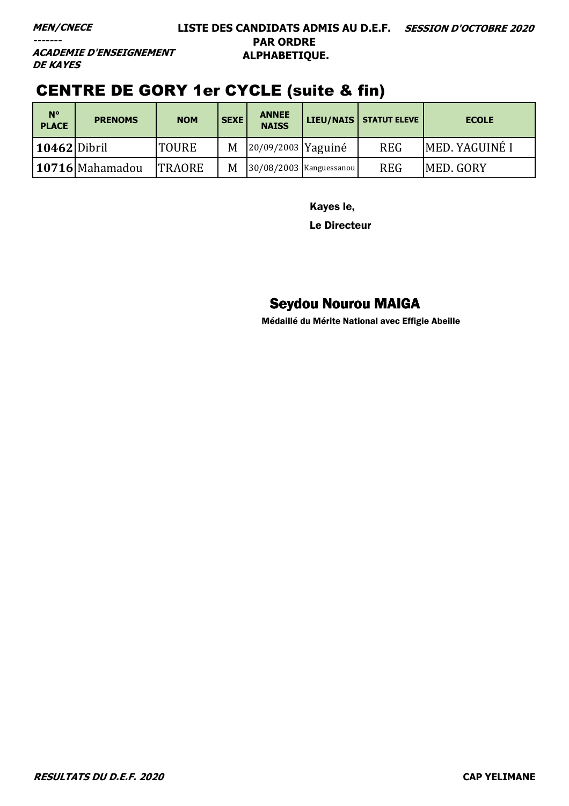#### **LISTE DES CANDIDATS ADMIS AU D.E.F. SESSION D'OCTOBRE 2020 PAR ORDRE ALPHABETIQUE.**

**ACADEMIE D'ENSEIGNEMENT DE KAYES** 

### CENTRE DE GORY 1er CYCLE (suite & fin)

| $N^{\circ}$<br><b>PLACE</b> | <b>PRENOMS</b>  | <b>NOM</b>    | <b>SEXE</b> | <b>ANNEE</b><br><b>NAISS</b> |                             | LIEU/NAIS   STATUT ELEVE | <b>ECOLE</b>     |
|-----------------------------|-----------------|---------------|-------------|------------------------------|-----------------------------|--------------------------|------------------|
| $10462$ Dibril              |                 | <b>TOURE</b>  | M           | 20/09/2003 Yaguiné           |                             | <b>REG</b>               | MED. YAGUINÉ I   |
|                             | 10716 Mahamadou | <b>TRAORE</b> | M           |                              | $ 30/08/2003 $ Kanguessanou | <b>REG</b>               | <b>MED. GORY</b> |

Kayes le,

Le Directeur

### Seydou Nourou MAIGA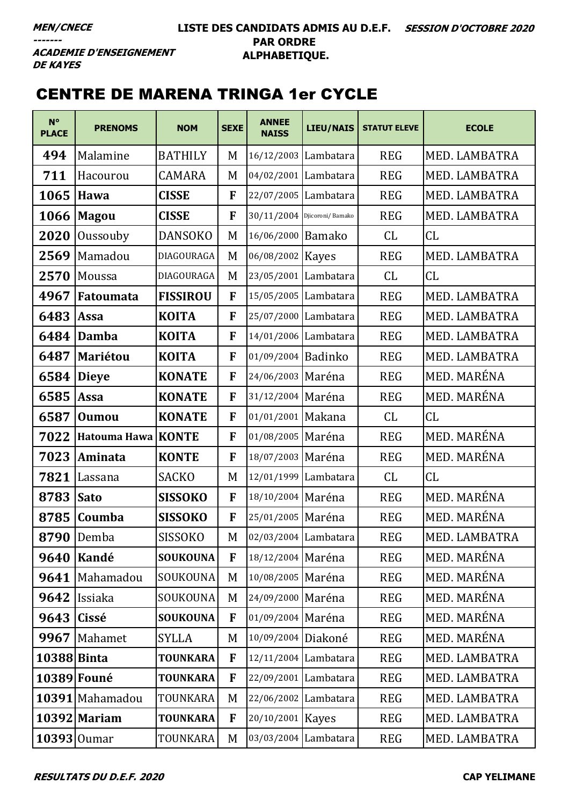**ACADEMIE D'ENSEIGNEMENT DE KAYES** 

### CENTRE DE MARENA TRINGA 1er CYCLE

| $N^{\circ}$<br><b>PLACE</b> | <b>PRENOMS</b>       | <b>NOM</b>      | <b>SEXE</b>  | <b>ANNEE</b><br><b>NAISS</b>  | <b>LIEU/NAIS</b> | <b>STATUT ELEVE</b> | <b>ECOLE</b>  |
|-----------------------------|----------------------|-----------------|--------------|-------------------------------|------------------|---------------------|---------------|
| 494                         | Malamine             | <b>BATHILY</b>  | M            | 16/12/2003 Lambatara          |                  | <b>REG</b>          | MED. LAMBATRA |
| 711                         | Hacourou             | CAMARA          | M            | 04/02/2001 Lambatara          |                  | <b>REG</b>          | MED. LAMBATRA |
| 1065                        | <b>Hawa</b>          | <b>CISSE</b>    | F            | 22/07/2005 Lambatara          |                  | <b>REG</b>          | MED. LAMBATRA |
| 1066                        | <b>Magou</b>         | <b>CISSE</b>    | F            | $30/11/2004$ Djicoroni/Bamako |                  | <b>REG</b>          | MED. LAMBATRA |
| 2020                        | Oussouby             | <b>DANSOKO</b>  | M            | 16/06/2000 Bamako             |                  | CL                  | CL            |
| 2569                        | Mamadou              | DIAGOURAGA      | M            | 06/08/2002   Kayes            |                  | <b>REG</b>          | MED. LAMBATRA |
| 2570                        | Moussa               | DIAGOURAGA      | M            | 23/05/2001 Lambatara          |                  | CL                  | CL            |
| 4967                        | Fatoumata            | <b>FISSIROU</b> | F            | 15/05/2005 Lambatara          |                  | <b>REG</b>          | MED. LAMBATRA |
| 6483                        | Assa                 | <b>KOITA</b>    | F            | 25/07/2000 Lambatara          |                  | <b>REG</b>          | MED. LAMBATRA |
| 6484                        | <b>Damba</b>         | <b>KOITA</b>    | F            | 14/01/2006 Lambatara          |                  | <b>REG</b>          | MED. LAMBATRA |
| 6487                        | <b>Mariétou</b>      | <b>KOITA</b>    | F            | 01/09/2004 Badinko            |                  | <b>REG</b>          | MED. LAMBATRA |
| 6584                        | <b>Dieye</b>         | <b>KONATE</b>   | F            | 24/06/2003 Maréna             |                  | <b>REG</b>          | MED. MARÉNA   |
| 6585                        | Assa                 | <b>KONATE</b>   | F            | 31/12/2004 Maréna             |                  | <b>REG</b>          | MED. MARÉNA   |
| 6587                        | Oumou                | <b>KONATE</b>   | F            | 01/01/2001 Makana             |                  | CL                  | CL            |
| 7022                        | Hatouma Hawa   KONTE |                 | F            | 01/08/2005 Maréna             |                  | <b>REG</b>          | MED. MARÉNA   |
| 7023                        | Aminata              | <b>KONTE</b>    | $\mathbf{F}$ | 18/07/2003 Maréna             |                  | <b>REG</b>          | MED. MARÉNA   |
| 7821                        | Lassana              | <b>SACKO</b>    | M            | 12/01/1999 Lambatara          |                  | CL                  | CL            |
| 8783                        | <b>Sato</b>          | <b>SISSOKO</b>  | F            | 18/10/2004 Maréna             |                  | <b>REG</b>          | MED. MARÉNA   |
| 8785                        | Coumba               | <b>SISSOKO</b>  | F            | 25/01/2005 Maréna             |                  | <b>REG</b>          | MED. MARÉNA   |
| 8790                        | Demba                | SISSOKO         | M            | 02/03/2004 Lambatara          |                  | <b>REG</b>          | MED. LAMBATRA |
| 9640                        | Kandé                | <b>SOUKOUNA</b> | F            | 18/12/2004 Maréna             |                  | <b>REG</b>          | MED. MARÉNA   |
| 9641                        | Mahamadou            | SOUKOUNA        | M            | 10/08/2005 Maréna             |                  | <b>REG</b>          | MED. MARÉNA   |
| 9642                        | Issiaka              | SOUKOUNA        | M            | 24/09/2000 Maréna             |                  | <b>REG</b>          | MED. MARÉNA   |
| 9643                        | Cissé                | <b>SOUKOUNA</b> | F            | 01/09/2004 Maréna             |                  | <b>REG</b>          | MED. MARÉNA   |
| 9967                        | Mahamet              | SYLLA           | M            | 10/09/2004 Diakoné            |                  | <b>REG</b>          | MED. MARÉNA   |
| 10388 Binta                 |                      | <b>TOUNKARA</b> | F            | 12/11/2004 Lambatara          |                  | <b>REG</b>          | MED. LAMBATRA |
| 10389 Founé                 |                      | <b>TOUNKARA</b> | F            | 22/09/2001 Lambatara          |                  | <b>REG</b>          | MED. LAMBATRA |
|                             | 10391 Mahamadou      | TOUNKARA        | M            | 22/06/2002 Lambatara          |                  | <b>REG</b>          | MED. LAMBATRA |
|                             | 10392 Mariam         | <b>TOUNKARA</b> | F            | 20/10/2001 Kayes              |                  | <b>REG</b>          | MED. LAMBATRA |
| 10393 Oumar                 |                      | TOUNKARA        | M            | 03/03/2004 Lambatara          |                  | <b>REG</b>          | MED. LAMBATRA |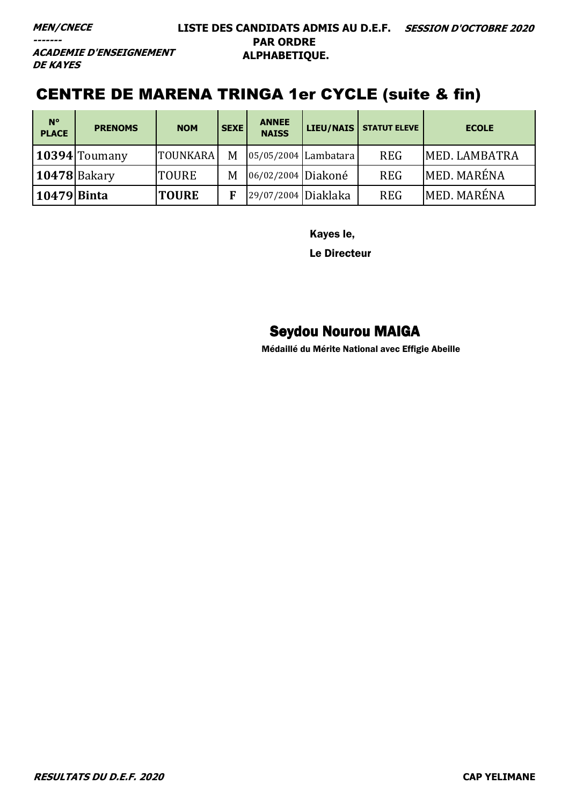**ACADEMIE D'ENSEIGNEMENT DE KAYES** 

### CENTRE DE MARENA TRINGA 1er CYCLE (suite & fin)

| $N^{\circ}$<br><b>PLACE</b> | <b>PRENOMS</b>        | <b>NOM</b>      | <b>SEXE</b> | <b>ANNEE</b><br><b>NAISS</b> | LIEU/NAIS            | <b>STATUT ELEVE</b> | <b>ECOLE</b>  |
|-----------------------------|-----------------------|-----------------|-------------|------------------------------|----------------------|---------------------|---------------|
|                             | $\vert$ 10394 Toumany | <b>TOUNKARA</b> | M           |                              | 05/05/2004 Lambatara | <b>REG</b>          | MED. LAMBATRA |
|                             | $10478$ Bakary        | <b>TOURE</b>    | M           | 06/02/2004 Diakoné           |                      | <b>REG</b>          | MED. MARÉNA   |
| 10479   Binta               |                       | <b>TOURE</b>    |             | 29/07/2004 Diaklaka          |                      | <b>REG</b>          | MED. MARÉNA   |

Kayes le,

Le Directeur

### Seydou Nourou MAIGA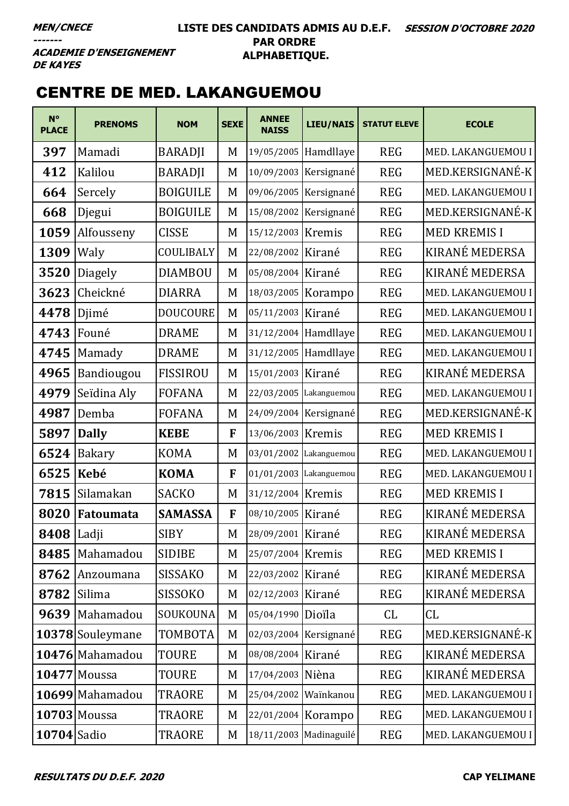#### **LISTE DES CANDIDATS ADMIS AU D.E.F. SESSION D'OCTOBRE 2020 PAR ORDRE ALPHABETIQUE.**

**ACADEMIE D'ENSEIGNEMENT DE KAYES** 

## CENTRE DE MED. LAKANGUEMOU

| $N^{\circ}$<br><b>PLACE</b> | <b>PRENOMS</b>      | <b>NOM</b>      | <b>SEXE</b> | <b>ANNEE</b><br><b>NAISS</b> | LIEU/NAIS              | <b>STATUT ELEVE</b> | <b>ECOLE</b>        |
|-----------------------------|---------------------|-----------------|-------------|------------------------------|------------------------|---------------------|---------------------|
| 397                         | Mamadi              | <b>BARADJI</b>  | M           |                              | 19/05/2005 Hamdllaye   | <b>REG</b>          | MED. LAKANGUEMOU I  |
| 412                         | Kalilou             | <b>BARADJI</b>  | M           |                              | 10/09/2003 Kersignané  | <b>REG</b>          | MED.KERSIGNANÉ-K    |
| 664                         | Sercely             | <b>BOIGUILE</b> | M           |                              | 09/06/2005 Kersignané  | <b>REG</b>          | MED. LAKANGUEMOU I  |
| 668                         | Djegui              | <b>BOIGUILE</b> | M           | 15/08/2002                   | Kersignané             | <b>REG</b>          | MED.KERSIGNANÉ-K    |
| 1059                        | Alfousseny          | <b>CISSE</b>    | M           | 15/12/2003 Kremis            |                        | <b>REG</b>          | <b>MED KREMIS I</b> |
| 1309                        | Waly                | COULIBALY       | M           | 22/08/2002                   | Kirané                 | <b>REG</b>          | KIRANÉ MEDERSA      |
| 3520                        | <b>Diagely</b>      | <b>DIAMBOU</b>  | M           | 05/08/2004 Kirané            |                        | <b>REG</b>          | KIRANÉ MEDERSA      |
| 3623                        | Cheickné            | <b>DIARRA</b>   | M           | 18/03/2005                   | Korampo                | <b>REG</b>          | MED. LAKANGUEMOU I  |
| 4478                        | Djimé               | <b>DOUCOURE</b> | M           | 05/11/2003 Kirané            |                        | <b>REG</b>          | MED. LAKANGUEMOU I  |
| 4743                        | Founé               | <b>DRAME</b>    | M           |                              | 31/12/2004 Hamdllaye   | <b>REG</b>          | MED. LAKANGUEMOU I  |
| 4745                        | Mamady              | <b>DRAME</b>    | M           |                              | 31/12/2005 Hamdllaye   | <b>REG</b>          | MED. LAKANGUEMOU I  |
| 4965                        | Bandiougou          | <b>FISSIROU</b> | M           | 15/01/2003                   | Kirané                 | <b>REG</b>          | KIRANÉ MEDERSA      |
| 4979                        | Seïdina Aly         | <b>FOFANA</b>   | M           |                              | 22/03/2005 Lakanguemou | <b>REG</b>          | MED. LAKANGUEMOU I  |
| 4987                        | Demba               | <b>FOFANA</b>   | M           |                              | 24/09/2004 Kersignané  | <b>REG</b>          | MED.KERSIGNANÉ-K    |
| 5897                        | <b>Dally</b>        | <b>KEBE</b>     | F           | 13/06/2003 Kremis            |                        | <b>REG</b>          | <b>MED KREMIS I</b> |
| 6524                        | <b>Bakary</b>       | <b>KOMA</b>     | M           | 03/01/2002                   | Lakanguemou            | <b>REG</b>          | MED. LAKANGUEMOU I  |
| 6525                        | Kebé                | <b>KOMA</b>     | F           |                              | 01/01/2003 Lakanguemou | <b>REG</b>          | MED. LAKANGUEMOU I  |
| 7815                        | Silamakan           | <b>SACKO</b>    | M           | 31/12/2004 Kremis            |                        | <b>REG</b>          | <b>MED KREMISI</b>  |
| 8020                        | Fatoumata           | <b>SAMASSA</b>  | F           | 08/10/2005   Kirané          |                        | <b>REG</b>          | KIRANÉ MEDERSA      |
| <b>8408</b> Ladji           |                     | <b>SIBY</b>     | M           | 28/09/2001 Kirané            |                        | <b>REG</b>          | KIRANÉ MEDERSA      |
| 8485                        | Mahamadou           | <b>SIDIBE</b>   | M           | 25/07/2004 Kremis            |                        | <b>REG</b>          | <b>MED KREMIS I</b> |
| 8762                        | Anzoumana           | <b>SISSAKO</b>  | M           | 22/03/2002 Kirané            |                        | <b>REG</b>          | KIRANÉ MEDERSA      |
| 8782                        | Silima              | <b>SISSOKO</b>  | M           | 02/12/2003 Kirané            |                        | <b>REG</b>          | KIRANÉ MEDERSA      |
|                             | 9639 Mahamadou      | SOUKOUNA        | M           | 05/04/1990 Dioïla            |                        | CL                  | CL                  |
|                             | 10378 Souleymane    | TOMBOTA         | M           |                              | 02/03/2004 Kersignané  | <b>REG</b>          | MED.KERSIGNANÉ-K    |
|                             | 10476 Mahamadou     | <b>TOURE</b>    | M           | 08/08/2004 Kirané            |                        | <b>REG</b>          | KIRANÉ MEDERSA      |
|                             | <b>10477 Moussa</b> | TOURE           | M           | 17/04/2003 Nièna             |                        | <b>REG</b>          | KIRANÉ MEDERSA      |
|                             | 10699 Mahamadou     | TRAORE          | M           | 25/04/2002 Wainkanou         |                        | <b>REG</b>          | MED. LAKANGUEMOU I  |
|                             | $10703$ Moussa      | TRAORE          | M           | 22/01/2004 Korampo           |                        | <b>REG</b>          | MED. LAKANGUEMOU I  |
| 10704 Sadio                 |                     | TRAORE          | M           |                              | 18/11/2003 Madinaguilé | <b>REG</b>          | MED. LAKANGUEMOU I  |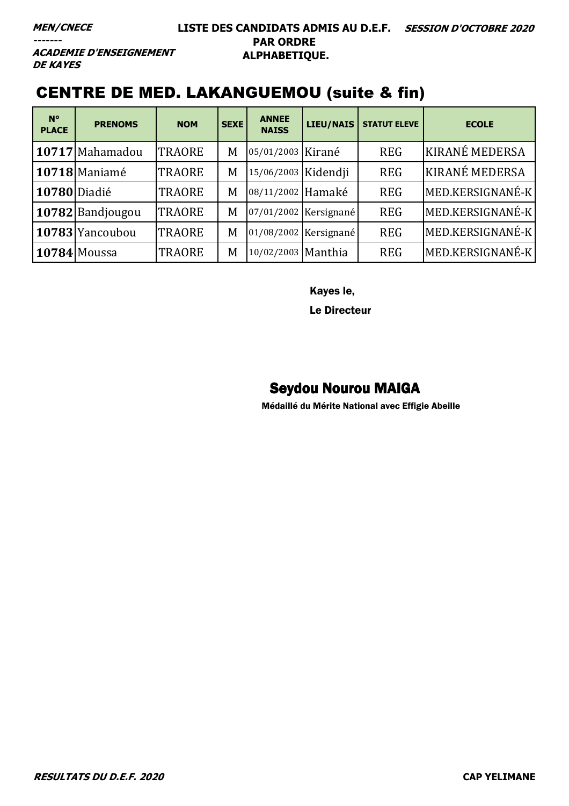**ACADEMIE D'ENSEIGNEMENT DE KAYES** 

## CENTRE DE MED. LAKANGUEMOU (suite & fin)

| $N^{\circ}$<br><b>PLACE</b> | <b>PRENOMS</b>   | <b>NOM</b>    | <b>SEXE</b> | <b>ANNEE</b><br><b>NAISS</b> | <b>LIEU/NAIS</b>      | <b>STATUT ELEVE</b> | <b>ECOLE</b>          |
|-----------------------------|------------------|---------------|-------------|------------------------------|-----------------------|---------------------|-----------------------|
|                             | 10717 Mahamadou  | <b>TRAORE</b> | M           | 05/01/2003 Kirané            |                       | <b>REG</b>          | <b>KIRANÉ MEDERSA</b> |
|                             | 10718 Maniamé    | <b>TRAORE</b> | M           | 15/06/2003 Kidendji          |                       | <b>REG</b>          | <b>KIRANÉ MEDERSA</b> |
| 10780 Diadié                |                  | <b>TRAORE</b> | M           | 08/11/2002 Hamaké            |                       | <b>REG</b>          | MED.KERSIGNANÉ-K      |
|                             | 10782 Bandjougou | <b>TRAORE</b> | M           |                              | 07/01/2002 Kersignané | <b>REG</b>          | MED.KERSIGNANÉ-K      |
|                             | 10783 Yancoubou  | <b>TRAORE</b> | M           |                              | 01/08/2002 Kersignané | <b>REG</b>          | MED.KERSIGNANÉ-K      |
|                             | 10784 Moussa     | <b>TRAORE</b> | M           | 10/02/2003 Manthia           |                       | <b>REG</b>          | MED.KERSIGNANÉ-K      |

Kayes le,

Le Directeur

#### Seydou Nourou MAIGA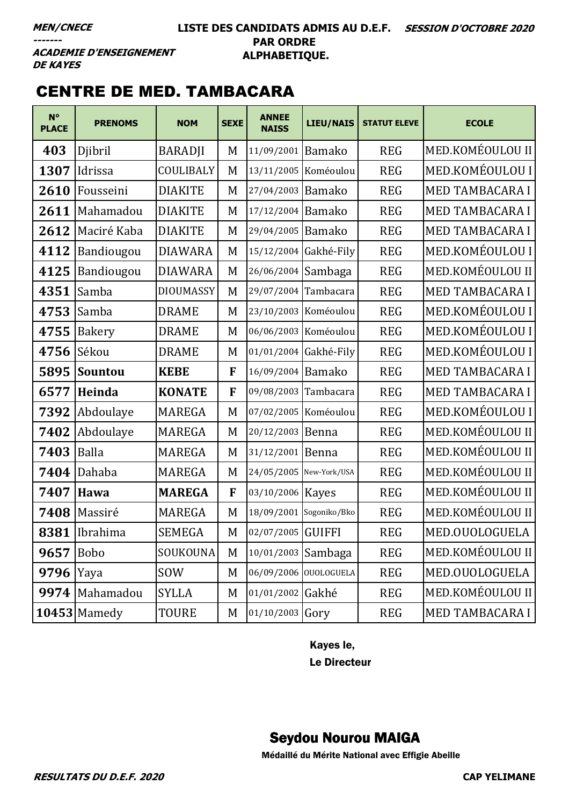#### **LISTE DES CANDIDATS ADMIS AU D.E.F. SESSION D'OCTOBRE 2020 PAR ORDRE ALPHABETIQUE.**

**ACADEMIE D'ENSEIGNEMENT DE KAYES** 

### CENTRE DE MED. TAMBACARA

| $N^{\circ}$<br><b>PLACE</b> | <b>PRENOMS</b>   | <b>NOM</b>       | <b>SEXE</b> | <b>ANNEE</b><br><b>NAISS</b> | <b>LIEU/NAIS</b>        | <b>STATUT ELEVE</b> | <b>ECOLE</b>           |
|-----------------------------|------------------|------------------|-------------|------------------------------|-------------------------|---------------------|------------------------|
| 403                         | Djibril          | <b>BARADJI</b>   | M           | 11/09/2001 Bamako            |                         | <b>REG</b>          | MED.KOMÉOULOU II       |
| 1307                        | Idrissa          | COULIBALY        | M           |                              | 13/11/2005 Koméoulou    | <b>REG</b>          | MED.KOMÉOULOU I        |
| 2610                        | Fousseini        | <b>DIAKITE</b>   | M           | 27/04/2003                   | <b>Bamako</b>           | <b>REG</b>          | <b>MED TAMBACARA I</b> |
| 2611                        | Mahamadou        | <b>DIAKITE</b>   | M           | 17/12/2004                   | <b>Bamako</b>           | <b>REG</b>          | <b>MED TAMBACARA I</b> |
| 2612                        | Maciré Kaba      | <b>DIAKITE</b>   | M           | 29/04/2005                   | <b>Bamako</b>           | <b>REG</b>          | MED TAMBACARA I        |
| 4112                        | Bandiougou       | <b>DIAWARA</b>   | M           |                              | 15/12/2004 Gakhé-Fily   | <b>REG</b>          | MED.KOMÉOULOU I        |
| 4125                        | Bandiougou       | <b>DIAWARA</b>   | M           | 26/06/2004 Sambaga           |                         | <b>REG</b>          | MED.KOMÉOULOU II       |
| 4351                        | Samba            | <b>DIOUMASSY</b> | M           | 29/07/2004                   | Tambacara               | <b>REG</b>          | <b>MED TAMBACARA I</b> |
| 4753                        | Samba            | <b>DRAME</b>     | M           |                              | 23/10/2003 Koméoulou    | <b>REG</b>          | MED.KOMÉOULOU I        |
| 4755                        | <b>Bakery</b>    | <b>DRAME</b>     | M           |                              | 06/06/2003 Koméoulou    | <b>REG</b>          | MED.KOMÉOULOU I        |
| 4756                        | Sékou            | <b>DRAME</b>     | M           |                              | 01/01/2004 Gakhé-Fily   | <b>REG</b>          | MED.KOMÉOULOU I        |
| 5895                        | <b>Sountou</b>   | <b>KEBE</b>      | F           | 16/09/2004 Bamako            |                         | <b>REG</b>          | <b>MED TAMBACARA I</b> |
| 6577                        | Heinda           | <b>KONATE</b>    | F           |                              | 09/08/2003 Tambacara    | <b>REG</b>          | MED TAMBACARA I        |
| 7392                        | Abdoulaye        | <b>MAREGA</b>    | M           |                              | 07/02/2005 Koméoulou    | <b>REG</b>          | MED.KOMÉOULOU I        |
| 7402                        | Abdoulaye        | <b>MAREGA</b>    | M           | 20/12/2003 Benna             |                         | <b>REG</b>          | MED.KOMÉOULOU II       |
| 7403                        | <b>Balla</b>     | <b>MAREGA</b>    | M           | 31/12/2001                   | Benna                   | <b>REG</b>          | MED.KOMÉOULOU II       |
| 7404                        | Dahaba           | <b>MAREGA</b>    | M           | 24/05/2005 New-York/USA      |                         | <b>REG</b>          | MED.KOMÉOULOU II       |
| 7407                        | <b>Hawa</b>      | <b>MAREGA</b>    | F           | 03/10/2006   Kayes           |                         | <b>REG</b>          | MED.KOMÉOULOU II       |
| 7408                        | Massiré          | <b>MAREGA</b>    | M           |                              | 18/09/2001 Sogoniko/Bko | <b>REG</b>          | MED.KOMÉOULOU II       |
| 8381                        | Ibrahima         | <b>SEMEGA</b>    | M           | 02/07/2005 GUIFFI            |                         | <b>REG</b>          | MED.OUOLOGUELA         |
| 9657                        | Bobo             | SOUKOUNA         | M           | 10/01/2003 Sambaga           |                         | <b>REG</b>          | MED.KOMÉOULOU II       |
| 9796                        | Yaya             | <b>SOW</b>       | M           |                              | 06/09/2006 OUOLOGUELA   | <b>REG</b>          | MED.OUOLOGUELA         |
|                             | 9974   Mahamadou | <b>SYLLA</b>     | M           | 01/01/2002 Gakhé             |                         | <b>REG</b>          | MED.KOMÉOULOU II       |
|                             | $10453$ Mamedy   | TOURE            | M           | 01/10/2003 Gory              |                         | <b>REG</b>          | MED TAMBACARA I        |

Kayes le,

Le Directeur

#### Seydou Nourou MAIGA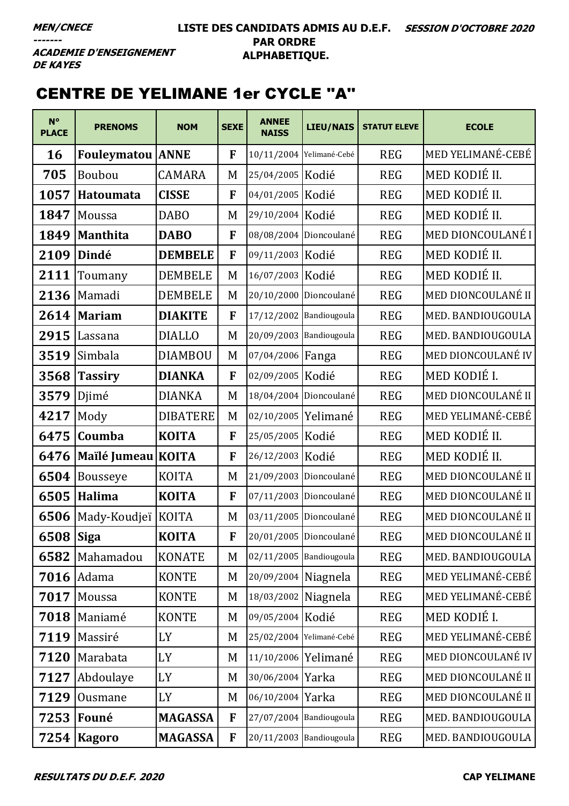### CENTRE DE YELIMANE 1er CYCLE ''A''

| $N^{\circ}$<br><b>PLACE</b> | <b>PRENOMS</b>          | <b>NOM</b>      | <b>SEXE</b>  | <b>ANNEE</b><br><b>NAISS</b> | <b>LIEU/NAIS</b>         | <b>STATUT ELEVE</b> | <b>ECOLE</b>             |
|-----------------------------|-------------------------|-----------------|--------------|------------------------------|--------------------------|---------------------|--------------------------|
| 16                          | <b>Fouleymatou ANNE</b> |                 | F            |                              | 10/11/2004 Yelimané-Cebé | <b>REG</b>          | MED YELIMANÉ-CEBÉ        |
| 705                         | Boubou                  | <b>CAMARA</b>   | M            | 25/04/2005   Kodié           |                          | <b>REG</b>          | MED KODIÉ II.            |
| 1057                        | Hatoumata               | <b>CISSE</b>    | F            | 04/01/2005 Kodié             |                          | <b>REG</b>          | MED KODIÉ II.            |
| 1847                        | Moussa                  | <b>DABO</b>     | M            | 29/10/2004 Kodié             |                          | <b>REG</b>          | MED KODIÉ II.            |
| 1849                        | <b>Manthita</b>         | <b>DABO</b>     | $\mathbf{F}$ |                              | 08/08/2004 Dioncoulané   | <b>REG</b>          | <b>MED DIONCOULANÉ I</b> |
| 2109                        | Dindé                   | <b>DEMBELE</b>  | F            | 09/11/2003 Kodié             |                          | <b>REG</b>          | MED KODIÉ II.            |
| 2111                        | Toumany                 | <b>DEMBELE</b>  | M            | 16/07/2003 Kodié             |                          | <b>REG</b>          | MED KODIÉ II.            |
| 2136                        | Mamadi                  | <b>DEMBELE</b>  | M            |                              | 20/10/2000 Dioncoulané   | <b>REG</b>          | MED DIONCOULANÉ II       |
| 2614                        | <b>Mariam</b>           | <b>DIAKITE</b>  | $\mathbf{F}$ |                              | 17/12/2002 Bandiougoula  | <b>REG</b>          | MED. BANDIOUGOULA        |
| 2915                        | Lassana                 | <b>DIALLO</b>   | M            |                              | 20/09/2003 Bandiougoula  | <b>REG</b>          | MED. BANDIOUGOULA        |
| 3519                        | Simbala                 | <b>DIAMBOU</b>  | M            | 07/04/2006 Fanga             |                          | <b>REG</b>          | MED DIONCOULANÉ IV       |
| 3568                        | <b>Tassiry</b>          | <b>DIANKA</b>   | F            | 02/09/2005 Kodié             |                          | <b>REG</b>          | MED KODIÉ I.             |
| 3579                        | Djimé                   | <b>DIANKA</b>   | M            |                              | 18/04/2004 Dioncoulané   | <b>REG</b>          | MED DIONCOULANÉ II       |
| 4217                        | Mody                    | <b>DIBATERE</b> | M            | 02/10/2005 Yelimané          |                          | <b>REG</b>          | MED YELIMANÉ-CEBÉ        |
| 6475                        | Coumba                  | <b>KOITA</b>    | F            | 25/05/2005 Kodié             |                          | <b>REG</b>          | MED KODIÉ II.            |
| 6476                        | Maïlé Jumeau            | <b>KOITA</b>    | F            | 26/12/2003 Kodié             |                          | <b>REG</b>          | MED KODIÉ II.            |
| 6504                        | <b>Bousseye</b>         | KOITA           | M            |                              | 21/09/2003 Dioncoulané   | <b>REG</b>          | MED DIONCOULANÉ II       |
| 6505                        | Halima                  | <b>KOITA</b>    | F            |                              | 07/11/2003 Dioncoulané   | <b>REG</b>          | MED DIONCOULANÉ II       |
| 6506                        | Mady-Koudjeï KOITA      |                 | M            |                              | 03/11/2005 Dioncoulané   | <b>REG</b>          | MED DIONCOULANÉ II       |
| 6508 Siga                   |                         | <b>KOITA</b>    | F            |                              | 20/01/2005 Dioncoulané   | <b>REG</b>          | MED DIONCOULANÉ II       |
| 6582                        | Mahamadou               | <b>KONATE</b>   | M            | 02/11/2005 Bandiougoula      |                          | <b>REG</b>          | MED. BANDIOUGOULA        |
| 7016                        | Adama                   | <b>KONTE</b>    | M            | 20/09/2004 Niagnela          |                          | <b>REG</b>          | MED YELIMANÉ-CEBÉ        |
| 7017                        | Moussa                  | <b>KONTE</b>    | M            | 18/03/2002 Niagnela          |                          | <b>REG</b>          | MED YELIMANÉ-CEBÉ        |
| 7018                        | Maniamé                 | <b>KONTE</b>    | M            | 09/05/2004 Kodié             |                          | <b>REG</b>          | MED KODIÉ I.             |
| 7119                        | Massiré                 | LY              | M            |                              | 25/02/2004 Yelimané-Cebé | <b>REG</b>          | MED YELIMANÉ-CEBÉ        |
| 7120                        | Marabata                | LY              | M            | 11/10/2006 Yelimané          |                          | <b>REG</b>          | MED DIONCOULANÉ IV       |
| 7127                        | Abdoulaye               | LY              | M            | 30/06/2004 Yarka             |                          | <b>REG</b>          | MED DIONCOULANÉ II       |
| 7129                        | Ousmane                 | LY              | M            | 06/10/2004 Yarka             |                          | <b>REG</b>          | MED DIONCOULANÉ II       |
| 7253                        | Founé                   | <b>MAGASSA</b>  | F            |                              | 27/07/2004 Bandiougoula  | <b>REG</b>          | MED. BANDIOUGOULA        |
| 7254                        | <b>Kagoro</b>           | <b>MAGASSA</b>  | F            |                              | 20/11/2003 Bandiougoula  | <b>REG</b>          | MED. BANDIOUGOULA        |